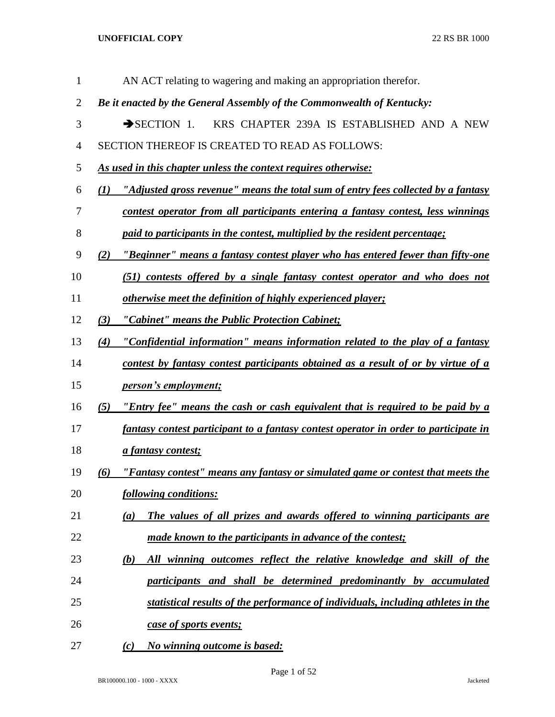| $\mathbf{1}$   | AN ACT relating to wagering and making an appropriation therefor.                            |
|----------------|----------------------------------------------------------------------------------------------|
| $\overline{2}$ | Be it enacted by the General Assembly of the Commonwealth of Kentucky:                       |
| 3              | $\rightarrow$ SECTION 1.<br>KRS CHAPTER 239A IS ESTABLISHED AND A NEW                        |
| 4              | SECTION THEREOF IS CREATED TO READ AS FOLLOWS:                                               |
| 5              | <u>As used in this chapter unless the context requires otherwise:</u>                        |
| 6              | "Adjusted gross revenue" means the total sum of entry fees collected by a fantasy<br>(I)     |
| 7              | contest operator from all participants entering a fantasy contest, less winnings             |
| 8              | <i>paid to participants in the contest, multiplied by the resident percentage;</i>           |
| 9              | <u>"Beginner" means a fantasy contest player who has entered fewer than fifty-one</u><br>(2) |
| 10             | (51) contests offered by a single fantasy contest operator and who does not                  |
| 11             | <u>otherwise meet the definition of highly experienced player;</u>                           |
| 12             | "Cabinet" means the Public Protection Cabinet;<br>(3)                                        |
| 13             | <u>"Confidential information" means information related to the play of a fantasy</u><br>(4)  |
| 14             | contest by fantasy contest participants obtained as a result of or by virtue of a            |
| 15             | <i>person's employment;</i>                                                                  |
| 16             | <u>"Entry fee" means the cash or cash equivalent that is required to be paid by a</u><br>(5) |
| 17             | fantasy contest participant to a fantasy contest operator in order to participate in         |
| 18             | <i>a fantasy contest;</i>                                                                    |
| 19             | "Fantasy contest" means any fantasy or simulated game or contest that meets the<br>(6)       |
| 20             | <u>following conditions:</u>                                                                 |
| 21             | The values of all prizes and awards offered to winning participants are<br>(a)               |
| 22             | made known to the participants in advance of the contest;                                    |
| 23             | All winning outcomes reflect the relative knowledge and skill of the<br>(b)                  |
| 24             | participants and shall be determined predominantly by accumulated                            |
| 25             | statistical results of the performance of individuals, including athletes in the             |
| 26             | case of sports events;                                                                       |
| 27             | No winning outcome is based:<br>(c)                                                          |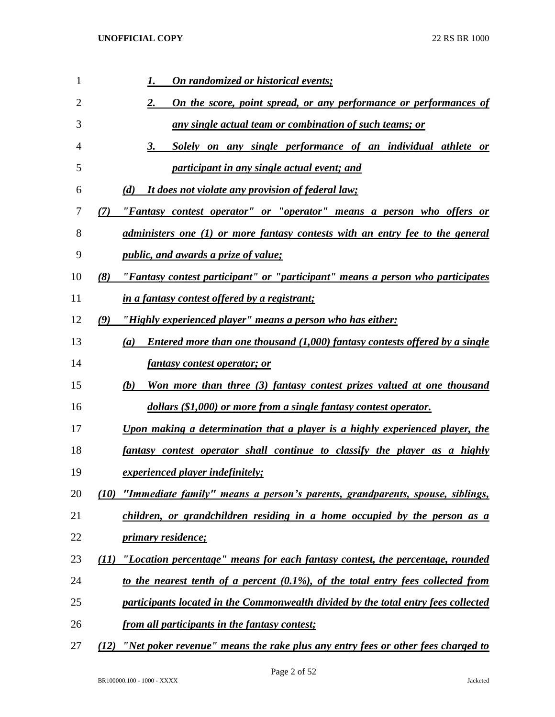| 1  | On randomized or historical events;                                                     |
|----|-----------------------------------------------------------------------------------------|
| 2  | On the score, point spread, or any performance or performances of<br>2.                 |
| 3  | <u>any single actual team or combination of such teams; or</u>                          |
| 4  | Solely on any single performance of an individual athlete or<br>3.                      |
| 5  | participant in any single actual event; and                                             |
| 6  | It does not violate any provision of federal law;<br>(d)                                |
| 7  | "Fantasy contest operator" or "operator" means a person who offers or<br>(7)            |
| 8  | administers one (1) or more fantasy contests with an entry fee to the general           |
| 9  | <i>public, and awards a prize of value;</i>                                             |
| 10 | "Fantasy contest participant" or "participant" means a person who participates<br>(8)   |
| 11 | in a fantasy contest offered by a registrant;                                           |
| 12 | "Highly experienced player" means a person who has either:<br>(9)                       |
| 13 | Entered more than one thousand (1,000) fantasy contests offered by a single<br>(a)      |
| 14 | <i>fantasy contest operator; or</i>                                                     |
| 15 | Won more than three (3) fantasy contest prizes valued at one thousand<br>(b)            |
| 16 | dollars (\$1,000) or more from a single fantasy contest operator.                       |
| 17 | Upon making a determination that a player is a highly experienced player, the           |
| 18 | fantasy contest operator shall continue to classify the player as a highly              |
| 19 | experienced player indefinitely;                                                        |
| 20 | "Immediate family" means a person's parents, grandparents, spouse, siblings,<br>(10)    |
| 21 | children, or grandchildren residing in a home occupied by the person as a               |
| 22 | <i>primary residence;</i>                                                               |
| 23 | "Location percentage" means for each fantasy contest, the percentage, rounded<br>(11)   |
| 24 | to the nearest tenth of a percent (0.1%), of the total entry fees collected from        |
| 25 | participants located in the Commonwealth divided by the total entry fees collected      |
| 26 | from all participants in the fantasy contest;                                           |
| 27 | "Net poker revenue" means the rake plus any entry fees or other fees charged to<br>(12) |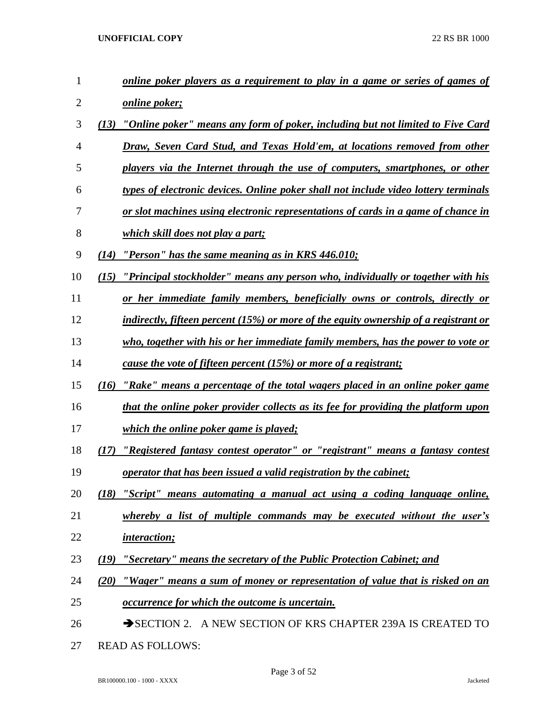| 1              | <u>online poker players as a requirement to play in a game or series of games of</u>           |
|----------------|------------------------------------------------------------------------------------------------|
| $\overline{2}$ | <u>online poker;</u>                                                                           |
| 3              | "Online poker" means any form of poker, including but not limited to Five Card<br>(13)         |
| $\overline{4}$ | Draw, Seven Card Stud, and Texas Hold'em, at locations removed from other                      |
| 5              | players via the Internet through the use of computers, smartphones, or other                   |
| 6              | types of electronic devices. Online poker shall not include video lottery terminals            |
| 7              | or slot machines using electronic representations of cards in a game of chance in              |
| 8              | <i>which skill does not play a part;</i>                                                       |
| 9              | "Person" has the same meaning as in KRS 446.010;<br>(14)                                       |
| 10             | <u>"Principal stockholder" means any person who, individually or together with his</u><br>(15) |
| 11             | <u>or her immediate family members, beneficially owns or controls, directly or</u>             |
| 12             | indirectly, fifteen percent (15%) or more of the equity ownership of a registrant or           |
| 13             | who, together with his or her immediate family members, has the power to vote or               |
| 14             | cause the vote of fifteen percent (15%) or more of a registrant;                               |
| 15             | <u>''Rake'' means a percentage of the total wagers placed in an online poker game</u><br>(I6)  |
| 16             | that the online poker provider collects as its fee for providing the platform upon             |
| 17             | which the online poker game is played;                                                         |
| 18             | "Registered fantasy contest operator" or "registrant" means a fantasy contest<br>(17)          |
| 19             | <u>operator that has been issued a valid registration by the cabinet;</u>                      |
| 20             | (18) "Script" means automating a manual act using a coding language online,                    |
| 21             | whereby a list of multiple commands may be executed without the user's                         |
| 22             | <i>interaction;</i>                                                                            |
| 23             | <i>"Secretary" means the secretary of the Public Protection Cabinet; and</i><br>(19)           |
| 24             | <u>"Wager" means a sum of money or representation of value that is risked on an</u><br>(20)    |
| 25             | <i><u><b>occurrence for which the outcome is uncertain.</b></u></i>                            |
| 26             | SECTION 2. A NEW SECTION OF KRS CHAPTER 239A IS CREATED TO                                     |
| 27             | <b>READ AS FOLLOWS:</b>                                                                        |
|                |                                                                                                |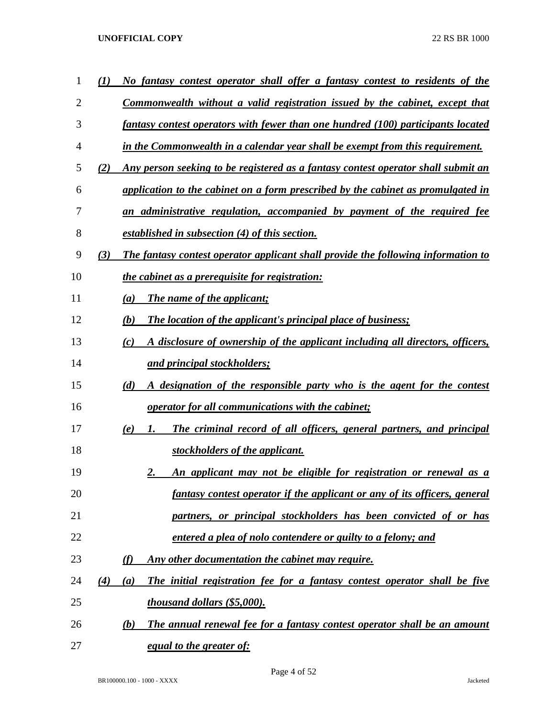| 1  |     | No fantasy contest operator shall offer a fantasy contest to residents of the        |
|----|-----|--------------------------------------------------------------------------------------|
| 2  |     | Commonwealth without a valid registration issued by the cabinet, except that         |
| 3  |     | fantasy contest operators with fewer than one hundred (100) participants located     |
| 4  |     | in the Commonwealth in a calendar year shall be exempt from this requirement.        |
| 5  | (2) | Any person seeking to be registered as a fantasy contest operator shall submit an    |
| 6  |     | application to the cabinet on a form prescribed by the cabinet as promulgated in     |
| 7  |     | an administrative regulation, accompanied by payment of the required fee             |
| 8  |     | established in subsection (4) of this section.                                       |
| 9  | (3) | The fantasy contest operator applicant shall provide the following information to    |
| 10 |     | the cabinet as a prerequisite for registration:                                      |
| 11 |     | The name of the applicant;<br>(a)                                                    |
| 12 |     | <b>The location of the applicant's principal place of business;</b><br>(b)           |
| 13 |     | A disclosure of ownership of the applicant including all directors, officers,<br>(c) |
| 14 |     | and principal stockholders;                                                          |
| 15 |     | (d)<br>A designation of the responsible party who is the agent for the contest       |
| 16 |     | <i>operator for all communications with the cabinet;</i>                             |
| 17 |     | The criminal record of all officers, general partners, and principal<br>(e)<br>1.    |
| 18 |     | stockholders of the applicant.                                                       |
| 19 |     | <u>An applicant may not be eligible for registration or renewal as a</u><br>2.       |
| 20 |     | fantasy contest operator if the applicant or any of its officers, general            |
| 21 |     | partners, or principal stockholders has been convicted of or has                     |
| 22 |     | entered a plea of nolo contendere or guilty to a felony; and                         |
| 23 |     | (f)<br>Any other documentation the cabinet may require.                              |
| 24 | (4) | The initial registration fee for a fantasy contest operator shall be five<br>(a)     |
| 25 |     | thousand dollars (\$5,000).                                                          |
| 26 |     | The annual renewal fee for a fantasy contest operator shall be an amount<br>(b)      |
| 27 |     | <u>equal to the greater of:</u>                                                      |

Page 4 of 52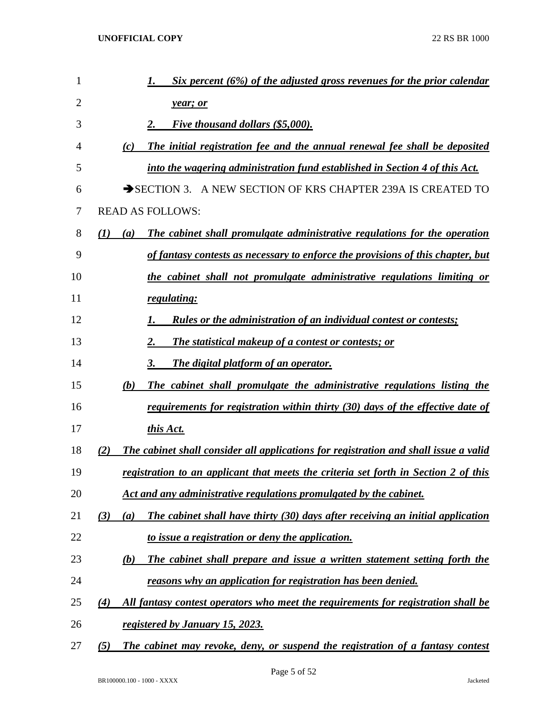| 1  | Six percent (6%) of the adjusted gross revenues for the prior calendar                       |
|----|----------------------------------------------------------------------------------------------|
| 2  | year; or                                                                                     |
| 3  | <b>Five thousand dollars (\$5,000).</b>                                                      |
| 4  | The initial registration fee and the annual renewal fee shall be deposited<br>(c)            |
| 5  | into the wagering administration fund established in Section 4 of this Act.                  |
| 6  | SECTION 3. A NEW SECTION OF KRS CHAPTER 239A IS CREATED TO                                   |
| 7  | <b>READ AS FOLLOWS:</b>                                                                      |
| 8  | The cabinet shall promulgate administrative regulations for the operation<br>(I)<br>(a)      |
| 9  | of fantasy contests as necessary to enforce the provisions of this chapter, but              |
| 10 | the cabinet shall not promulgate administrative regulations limiting or                      |
| 11 | regulating:                                                                                  |
| 12 | Rules or the administration of an individual contest or contests;                            |
| 13 | The statistical makeup of a contest or contests; or                                          |
| 14 | The digital platform of an operator.<br>3.                                                   |
| 15 | The cabinet shall promulgate the administrative regulations listing the<br>(b)               |
| 16 | requirements for registration within thirty (30) days of the effective date of               |
| 17 | this Act.                                                                                    |
| 18 | The cabinet shall consider all applications for registration and shall issue a valid<br>(2)  |
| 19 | registration to an applicant that meets the criteria set forth in Section 2 of this          |
| 20 | Act and any administrative regulations promulgated by the cabinet.                           |
| 21 | The cabinet shall have thirty (30) days after receiving an initial application<br>(3)<br>(a) |
| 22 | to issue a registration or deny the application.                                             |
| 23 | The cabinet shall prepare and issue a written statement setting forth the<br><u>(b)</u>      |
| 24 | reasons why an application for registration has been denied.                                 |
| 25 | All fantasy contest operators who meet the requirements for registration shall be<br>(4)     |
| 26 | <u>registered by January 15, 2023.</u>                                                       |
| 27 | The cabinet may revoke, deny, or suspend the registration of a fantasy contest<br>(5)        |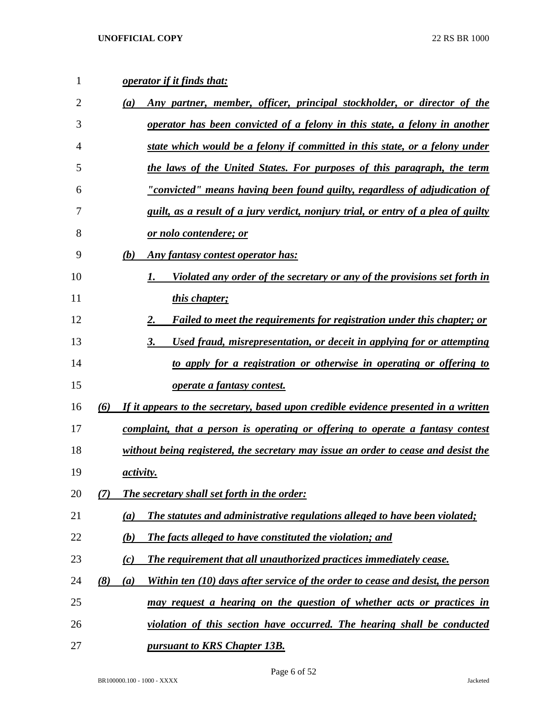| 1  | <b>operator if it finds that:</b>                                                             |
|----|-----------------------------------------------------------------------------------------------|
| 2  | Any partner, member, officer, principal stockholder, or director of the<br>(a)                |
| 3  | operator has been convicted of a felony in this state, a felony in another                    |
| 4  | state which would be a felony if committed in this state, or a felony under                   |
| 5  | the laws of the United States. For purposes of this paragraph, the term                       |
| 6  | "convicted" means having been found guilty, regardless of adjudication of                     |
| 7  | guilt, as a result of a jury verdict, nonjury trial, or entry of a plea of guilty             |
| 8  | <u>or nolo contendere; or</u>                                                                 |
| 9  | (b)<br>Any fantasy contest operator has:                                                      |
| 10 | <u>Violated any order of the secretary or any of the provisions set forth in</u><br>1.        |
| 11 | this chapter;                                                                                 |
| 12 | 2.<br><b>Failed to meet the requirements for registration under this chapter; or</b>          |
| 13 | Used fraud, misrepresentation, or deceit in applying for or attempting<br>3.                  |
| 14 | to apply for a registration or otherwise in operating or offering to                          |
| 15 | operate a fantasy contest.                                                                    |
| 16 | If it appears to the secretary, based upon credible evidence presented in a written<br>(6)    |
| 17 | complaint, that a person is operating or offering to operate a fantasy contest                |
| 18 | without being registered, the secretary may issue an order to cease and desist the            |
| 19 | activity.                                                                                     |
| 20 | <b>The secretary shall set forth in the order:</b><br>(7)                                     |
| 21 | <b>The statutes and administrative regulations alleged to have been violated;</b><br>(a)      |
| 22 | (b)<br><b>The facts alleged to have constituted the violation; and</b>                        |
| 23 | The requirement that all unauthorized practices immediately cease.<br>(c)                     |
| 24 | (8)<br>Within ten (10) days after service of the order to cease and desist, the person<br>(a) |
| 25 | <u>may request a hearing on the question of whether acts or practices in</u>                  |
| 26 | violation of this section have occurred. The hearing shall be conducted                       |
| 27 | <u><b>pursuant to KRS Chapter 13B.</b></u>                                                    |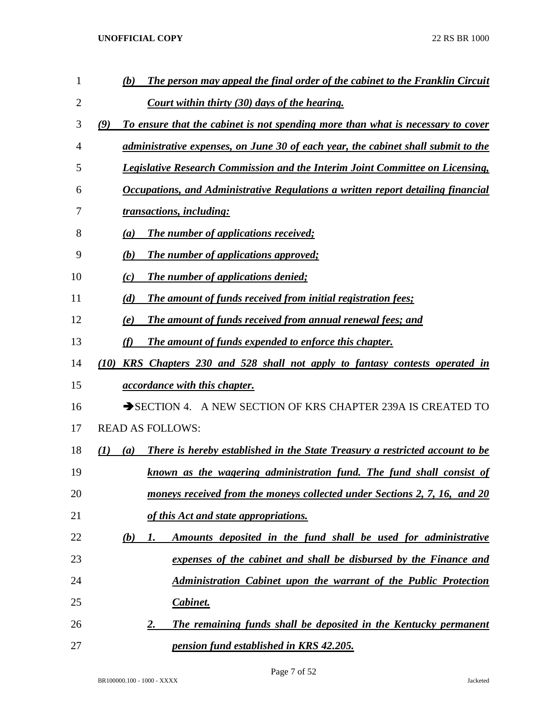| 1              | The person may appeal the final order of the cabinet to the Franklin Circuit<br>(b)                            |
|----------------|----------------------------------------------------------------------------------------------------------------|
| $\overline{2}$ | Court within thirty (30) days of the hearing.                                                                  |
| 3              | (9)<br>To ensure that the cabinet is not spending more than what is necessary to cover                         |
| 4              | administrative expenses, on June 30 of each year, the cabinet shall submit to the                              |
| 5              | <b>Legislative Research Commission and the Interim Joint Committee on Licensing,</b>                           |
| 6              | <b>Occupations, and Administrative Regulations a written report detailing financial</b>                        |
| 7              | transactions, including:                                                                                       |
| 8              | <b>The number of applications received;</b><br>(a)                                                             |
| 9              | The number of applications approved;<br>(b)                                                                    |
| 10             | <b>The number of applications denied;</b><br>(c)                                                               |
| 11             | The amount of funds received from initial registration fees;<br>(d)                                            |
| 12             | The amount of funds received from annual renewal fees; and<br>(e)                                              |
| 13             | The amount of funds expended to enforce this chapter.<br>(f)                                                   |
| 14             | (10) KRS Chapters 230 and 528 shall not apply to fantasy contests operated in                                  |
| 15             | <i>accordance with this chapter.</i>                                                                           |
| 16             | SECTION 4. A NEW SECTION OF KRS CHAPTER 239A IS CREATED TO                                                     |
| 17             | <b>READ AS FOLLOWS:</b>                                                                                        |
| 18             | <b>There is hereby established in the State Treasury a restricted account to be</b><br>$\mathcal{L}(I)$<br>(a) |
| 19             | known as the wagering administration fund. The fund shall consist of                                           |
| 20             | moneys received from the moneys collected under Sections 2, 7, 16, and 20                                      |
| 21             | of this Act and state appropriations.                                                                          |
| 22             | Amounts deposited in the fund shall be used for administrative<br>(b)<br>1.                                    |
| 23             | expenses of the cabinet and shall be disbursed by the Finance and                                              |
| 24             | <b>Administration Cabinet upon the warrant of the Public Protection</b>                                        |
| 25             | Cabinet.                                                                                                       |
| 26             | The remaining funds shall be deposited in the Kentucky permanent<br>2.                                         |
| 27             | <u>pension fund established in KRS 42.205.</u>                                                                 |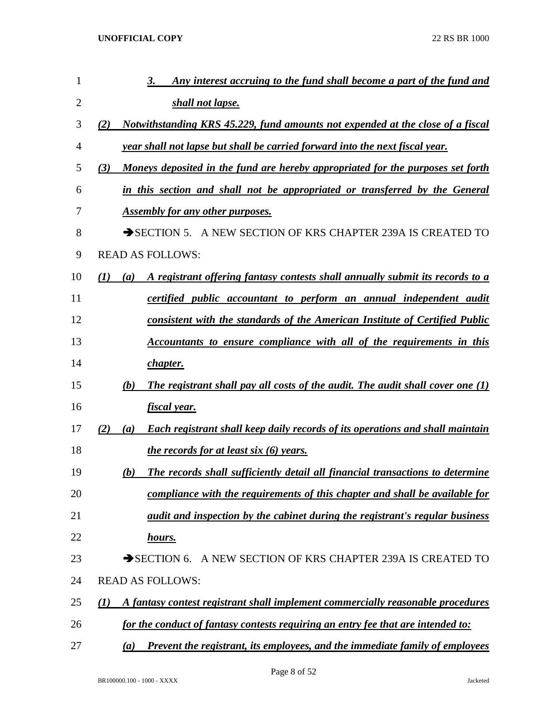| 1              | Any interest accruing to the fund shall become a part of the fund and<br>3.                        |
|----------------|----------------------------------------------------------------------------------------------------|
| $\overline{2}$ | shall not lapse.                                                                                   |
| 3              | Notwithstanding KRS 45.229, fund amounts not expended at the close of a fiscal<br>(2)              |
| 4              | year shall not lapse but shall be carried forward into the next fiscal year.                       |
| 5              | Moneys deposited in the fund are hereby appropriated for the purposes set forth<br>(3)             |
| 6              | in this section and shall not be appropriated or transferred by the General                        |
| 7              | <b>Assembly for any other purposes.</b>                                                            |
| 8              | SECTION 5. A NEW SECTION OF KRS CHAPTER 239A IS CREATED TO                                         |
| 9              | <b>READ AS FOLLOWS:</b>                                                                            |
| 10             | (1)<br>A registrant offering fantasy contests shall annually submit its records to a<br>(a)        |
| 11             | certified public accountant to perform an annual independent audit                                 |
| 12             | consistent with the standards of the American Institute of Certified Public                        |
| 13             | <b>Accountants to ensure compliance with all of the requirements in this</b>                       |
| 14             | <i>chapter.</i>                                                                                    |
| 15             | The registrant shall pay all costs of the audit. The audit shall cover one (1)<br>(b)              |
| 16             | fiscal year.                                                                                       |
| 17             | <b>Each registrant shall keep daily records of its operations and shall maintain</b><br>(2)<br>(a) |
| 18             | the records for at least six $(6)$ years.                                                          |
| 19             | The records shall sufficiently detail all financial transactions to determine<br>(b)               |
| 20             | compliance with the requirements of this chapter and shall be available for                        |
| 21             | audit and inspection by the cabinet during the registrant's regular business                       |
| 22             | hours.                                                                                             |
| 23             | SECTION 6. A NEW SECTION OF KRS CHAPTER 239A IS CREATED TO                                         |
| 24             | <b>READ AS FOLLOWS:</b>                                                                            |
| 25             | A fantasy contest registrant shall implement commercially reasonable procedures<br>(I)             |
| 26             | for the conduct of fantasy contests requiring an entry fee that are intended to:                   |
| 27             | <b>Prevent the registrant, its employees, and the immediate family of employees</b><br>(a)         |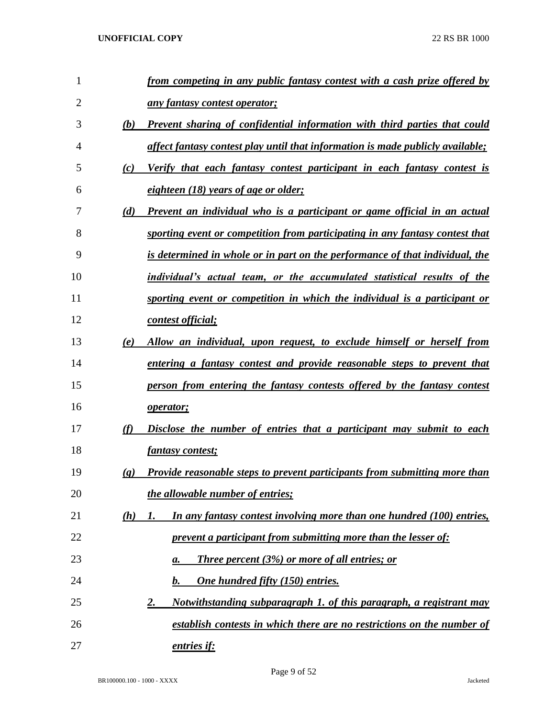| $\mathbf{1}$   |                             | from competing in any public fantasy contest with a cash prize offered by           |
|----------------|-----------------------------|-------------------------------------------------------------------------------------|
| $\overline{2}$ |                             | any fantasy contest operator;                                                       |
| 3              | (b)                         | Prevent sharing of confidential information with third parties that could           |
| 4              |                             | affect fantasy contest play until that information is made publicly available;      |
| 5              | (c)                         | Verify that each fantasy contest participant in each fantasy contest is             |
| 6              |                             | eighteen (18) years of age or older;                                                |
| 7              | (d)                         | Prevent an individual who is a participant or game official in an actual            |
| 8              |                             | sporting event or competition from participating in any fantasy contest that        |
| 9              |                             | <u>is determined in whole or in part on the performance of that individual, the</u> |
| 10             |                             | individual's actual team, or the accumulated statistical results of the             |
| 11             |                             | sporting event or competition in which the individual is a participant or           |
| 12             |                             | contest official;                                                                   |
| 13             | (e)                         | Allow an individual, upon request, to exclude himself or herself from               |
| 14             |                             | entering a fantasy contest and provide reasonable steps to prevent that             |
| 15             |                             | person from entering the fantasy contests offered by the fantasy contest            |
| 16             |                             | <i>operator</i> ;                                                                   |
| 17             | (f)                         | Disclose the number of entries that a participant may submit to each                |
| 18             |                             | <i>fantasy contest;</i>                                                             |
| 19             | $\left( \mathbf{g} \right)$ | Provide reasonable steps to prevent participants from submitting more than          |
| 20             |                             | the allowable number of entries;                                                    |
| 21             | (h)                         | In any fantasy contest involving more than one hundred (100) entries,<br>1.         |
| 22             |                             | prevent a participant from submitting more than the lesser of:                      |
| 23             |                             | <b>Three percent (3%) or more of all entries; or</b><br>a.                          |
| 24             |                             | One hundred fifty (150) entries.<br>$\mathbf{b}$ .                                  |
| 25             |                             | Notwithstanding subparagraph 1. of this paragraph, a registrant may<br>2.           |
| 26             |                             | establish contests in which there are no restrictions on the number of              |
| 27             |                             | entries if:                                                                         |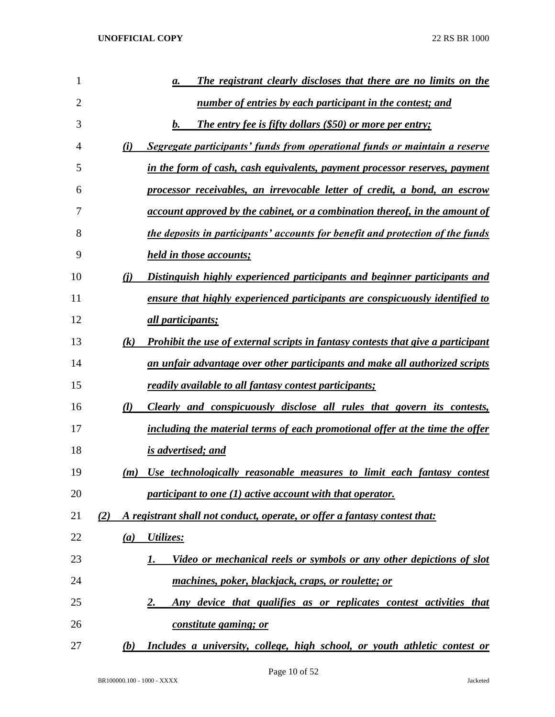| 1              | The registrant clearly discloses that there are no limits on the<br>а.                  |
|----------------|-----------------------------------------------------------------------------------------|
| $\overline{2}$ | number of entries by each participant in the contest; and                               |
| 3              | $\bm{b}$ .<br><b>The entry fee is fifty dollars (\$50) or more per entry;</b>           |
| 4              | Segregate participants' funds from operational funds or maintain a reserve<br>(i)       |
| 5              | in the form of cash, cash equivalents, payment processor reserves, payment              |
| 6              | processor receivables, an irrevocable letter of credit, a bond, an escrow               |
| 7              | <u>account approved by the cabinet, or a combination thereof, in the amount of</u>      |
| 8              | the deposits in participants' accounts for benefit and protection of the funds          |
| 9              | held in those accounts;                                                                 |
| 10             | (i)<br>Distinguish highly experienced participants and beginner participants and        |
| 11             | ensure that highly experienced participants are conspicuously identified to             |
| 12             | <i>all participants;</i>                                                                |
| 13             | Prohibit the use of external scripts in fantasy contests that give a participant<br>(k) |
| 14             | an unfair advantage over other participants and make all authorized scripts             |
| 15             | readily available to all fantasy contest participants;                                  |
| 16             | $\mathcal{U}$<br>Clearly and conspicuously disclose all rules that govern its contests, |
| 17             | including the material terms of each promotional offer at the time the offer            |
| 18             | is advertised; and                                                                      |
| 19             | Use technologically reasonable measures to limit each fantasy contest<br>(m)            |
| 20             | participant to one (1) active account with that operator.                               |
| 21             | A registrant shall not conduct, operate, or offer a fantasy contest that:<br>(2)        |
| 22             | Utilizes:<br>(a)                                                                        |
| 23             | Video or mechanical reels or symbols or any other depictions of slot<br>1.              |
| 24             | machines, poker, blackjack, craps, or roulette; or                                      |
| 25             | Any device that qualifies as or replicates contest activities that<br>2.                |
| 26             | constitute gaming; or                                                                   |
| 27             | Includes a university, college, high school, or youth athletic contest or<br>(b)        |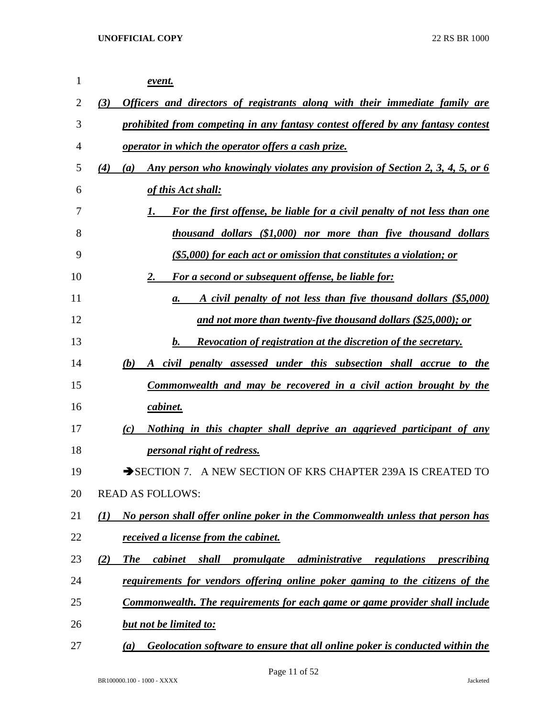| 1  | event.                                                                                                                   |
|----|--------------------------------------------------------------------------------------------------------------------------|
| 2  | Officers and directors of registrants along with their immediate family are<br>(3)                                       |
| 3  | prohibited from competing in any fantasy contest offered by any fantasy contest                                          |
| 4  | operator in which the operator offers a cash prize.                                                                      |
| 5  | Any person who knowingly violates any provision of Section 2, 3, 4, 5, or 6<br>(4)<br>(a)                                |
| 6  | of this Act shall:                                                                                                       |
| 7  | For the first offense, be liable for a civil penalty of not less than one<br>1.                                          |
| 8  | thousand dollars (\$1,000) nor more than five thousand dollars                                                           |
| 9  | $(S5,000)$ for each act or omission that constitutes a violation; or                                                     |
| 10 | For a second or subsequent offense, be liable for:<br>2.                                                                 |
| 11 | A civil penalty of not less than five thousand dollars (\$5,000)<br>a.                                                   |
| 12 | and not more than twenty-five thousand dollars $(\$25,000)$ ; or                                                         |
| 13 | b.<br><b>Revocation of registration at the discretion of the secretary.</b>                                              |
| 14 | (b)<br>A civil penalty assessed under this subsection shall accrue to the                                                |
| 15 | Commonwealth and may be recovered in a civil action brought by the                                                       |
| 16 | cabinet.                                                                                                                 |
| 17 | Nothing in this chapter shall deprive an aggrieved participant of any<br>(c)                                             |
| 18 | <i>personal right of redress.</i>                                                                                        |
| 19 | SECTION 7. A NEW SECTION OF KRS CHAPTER 239A IS CREATED TO                                                               |
| 20 | <b>READ AS FOLLOWS:</b>                                                                                                  |
| 21 | No person shall offer online poker in the Commonwealth unless that person has<br>$\mathcal{L}(I)$                        |
| 22 | <i>received a license from the cabinet.</i>                                                                              |
| 23 | (2)<br><b>The</b><br><i>administrative</i><br><i>cabinet</i><br>shall<br>promulgate<br>regulations<br><i>prescribing</i> |
| 24 | requirements for vendors offering online poker gaming to the citizens of the                                             |
| 25 | <b>Commonwealth. The requirements for each game or game provider shall include</b>                                       |
| 26 | <b>but not be limited to:</b>                                                                                            |
| 27 | Geolocation software to ensure that all online poker is conducted within the<br>(a)                                      |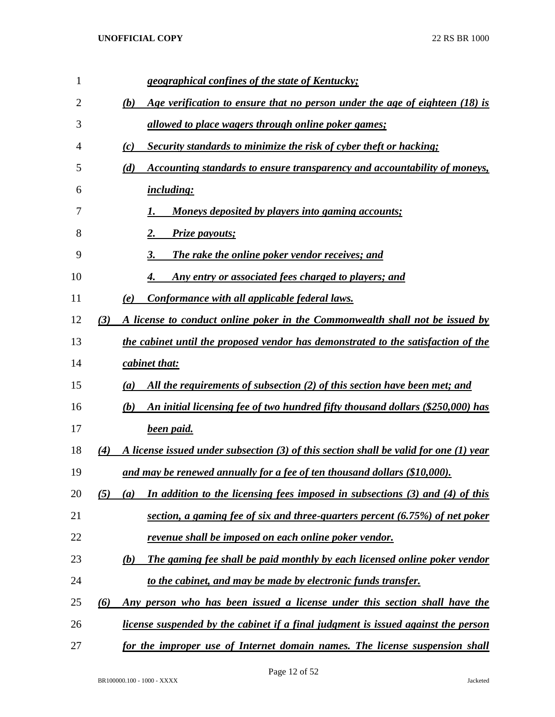| $\mathbf{1}$ | geographical confines of the state of Kentucky;                                                |
|--------------|------------------------------------------------------------------------------------------------|
| 2            | (b)<br>Age verification to ensure that no person under the age of eighteen (18) is             |
| 3            | <u>allowed to place wagers through online poker games;</u>                                     |
| 4            | Security standards to minimize the risk of cyber theft or hacking;<br>(c)                      |
| 5            | (d)<br>Accounting standards to ensure transparency and accountability of moneys,               |
| 6            | <i>including:</i>                                                                              |
| 7            | <u>Moneys deposited by players into gaming accounts;</u>                                       |
| 8            | Prize payouts;<br>2.                                                                           |
| 9            | The rake the online poker vendor receives; and<br>3.                                           |
| 10           | <u>Any entry or associated fees charged to players; and</u><br>4.                              |
| 11           | Conformance with all applicable federal laws.<br>(e)                                           |
| 12           | (3)<br>A license to conduct online poker in the Commonwealth shall not be issued by            |
| 13           | the cabinet until the proposed vendor has demonstrated to the satisfaction of the              |
| 14           | cabinet that:                                                                                  |
| 15           | All the requirements of subsection (2) of this section have been met; and<br>(a)               |
| 16           | An initial licensing fee of two hundred fifty thousand dollars (\$250,000) has<br>(b)          |
| 17           | <b>been paid.</b>                                                                              |
| 18           | A license issued under subsection (3) of this section shall be valid for one (1) year<br>(4)   |
| 19           | and may be renewed annually for a fee of ten thousand dollars (\$10,000).                      |
| 20           | In addition to the licensing fees imposed in subsections $(3)$ and $(4)$ of this<br>(5)<br>(a) |
| 21           | section, a gaming fee of six and three-quarters percent (6.75%) of net poker                   |
| 22           | <u>revenue shall be imposed on each online poker vendor.</u>                                   |
| 23           | The gaming fee shall be paid monthly by each licensed online poker vendor<br>(b)               |
| 24           | to the cabinet, and may be made by electronic funds transfer.                                  |
| 25           | (6)<br><u>Any person who has been issued a license under this section shall have the</u>       |
| 26           | license suspended by the cabinet if a final judgment is issued against the person              |
| 27           | for the improper use of Internet domain names. The license suspension shall                    |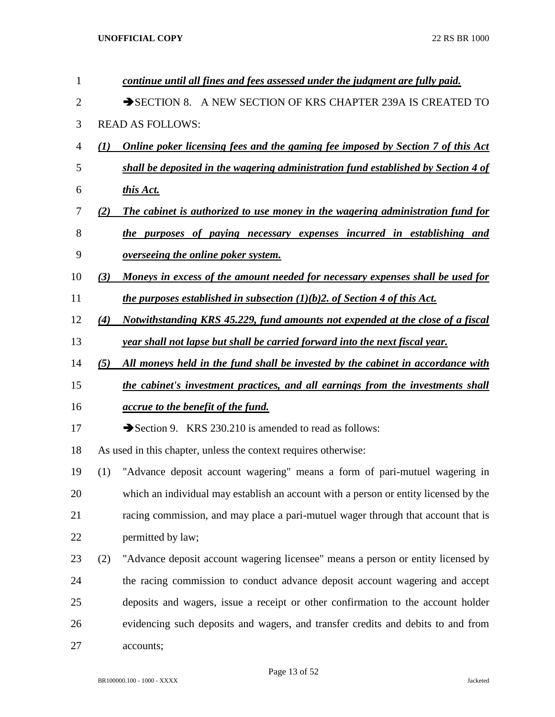| $\mathbf{1}$   |                  | continue until all fines and fees assessed under the judgment are fully paid.                 |
|----------------|------------------|-----------------------------------------------------------------------------------------------|
| $\overline{2}$ |                  | SECTION 8. A NEW SECTION OF KRS CHAPTER 239A IS CREATED TO                                    |
| 3              |                  | <b>READ AS FOLLOWS:</b>                                                                       |
| 4              | $\mathcal{L}(I)$ | <b>Online poker licensing fees and the gaming fee imposed by Section 7 of this Act</b>        |
| 5              |                  | shall be deposited in the wagering administration fund established by Section 4 of            |
| 6              |                  | this Act.                                                                                     |
| 7              | (2)              | The cabinet is authorized to use money in the wagering administration fund for                |
| 8              |                  | the purposes of paying necessary expenses incurred in establishing and                        |
| 9              |                  | <i>overseeing the online poker system.</i>                                                    |
| 10             | (3)              | Moneys in excess of the amount needed for necessary expenses shall be used for                |
| 11             |                  | <i>the purposes established in subsection <math>(1)(b)</math>2. of Section 4 of this Act.</i> |
| 12             | (4)              | Notwithstanding KRS 45.229, fund amounts not expended at the close of a fiscal                |
| 13             |                  | year shall not lapse but shall be carried forward into the next fiscal year.                  |
| 14             | (5)              | All moneys held in the fund shall be invested by the cabinet in accordance with               |
| 15             |                  | the cabinet's investment practices, and all earnings from the investments shall               |
| 16             |                  | <i><u>accrue to the benefit of the fund.</u></i>                                              |
| 17             |                  | Section 9. KRS 230.210 is amended to read as follows:                                         |
| 18             |                  | As used in this chapter, unless the context requires otherwise:                               |
| 19             | (1)              | "Advance deposit account wagering" means a form of pari-mutuel wagering in                    |
| 20             |                  | which an individual may establish an account with a person or entity licensed by the          |
| 21             |                  | racing commission, and may place a pari-mutuel wager through that account that is             |
| 22             |                  | permitted by law;                                                                             |
| 23             | (2)              | "Advance deposit account wagering licensee" means a person or entity licensed by              |
| 24             |                  | the racing commission to conduct advance deposit account wagering and accept                  |
| 25             |                  | deposits and wagers, issue a receipt or other confirmation to the account holder              |
| 26             |                  | evidencing such deposits and wagers, and transfer credits and debits to and from              |
| 27             |                  | accounts;                                                                                     |
|                |                  |                                                                                               |

$$
BR100000.100 - 1000 - XXXX
$$

Page 13 of 52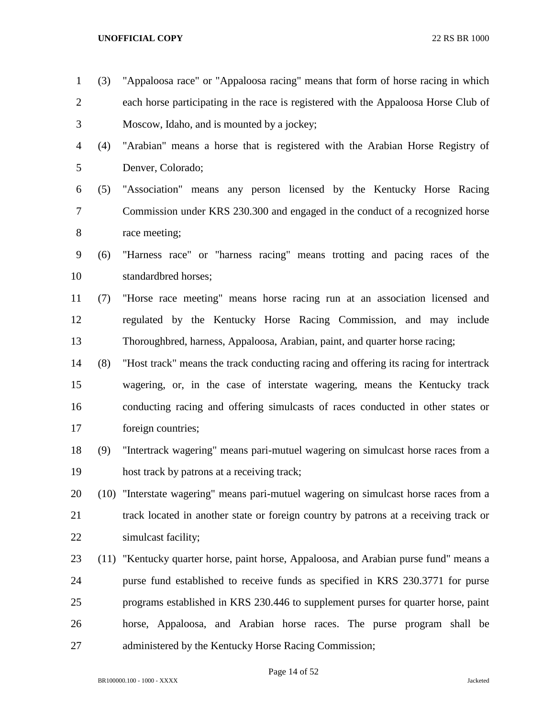- (3) "Appaloosa race" or "Appaloosa racing" means that form of horse racing in which each horse participating in the race is registered with the Appaloosa Horse Club of Moscow, Idaho, and is mounted by a jockey;
- (4) "Arabian" means a horse that is registered with the Arabian Horse Registry of Denver, Colorado;
- (5) "Association" means any person licensed by the Kentucky Horse Racing Commission under KRS 230.300 and engaged in the conduct of a recognized horse race meeting;
- (6) "Harness race" or "harness racing" means trotting and pacing races of the standardbred horses;
- (7) "Horse race meeting" means horse racing run at an association licensed and regulated by the Kentucky Horse Racing Commission, and may include Thoroughbred, harness, Appaloosa, Arabian, paint, and quarter horse racing;
- (8) "Host track" means the track conducting racing and offering its racing for intertrack wagering, or, in the case of interstate wagering, means the Kentucky track conducting racing and offering simulcasts of races conducted in other states or foreign countries;
- (9) "Intertrack wagering" means pari-mutuel wagering on simulcast horse races from a host track by patrons at a receiving track;
- (10) "Interstate wagering" means pari-mutuel wagering on simulcast horse races from a track located in another state or foreign country by patrons at a receiving track or simulcast facility;
- (11) "Kentucky quarter horse, paint horse, Appaloosa, and Arabian purse fund" means a purse fund established to receive funds as specified in KRS 230.3771 for purse programs established in KRS 230.446 to supplement purses for quarter horse, paint horse, Appaloosa, and Arabian horse races. The purse program shall be administered by the Kentucky Horse Racing Commission;

Page 14 of 52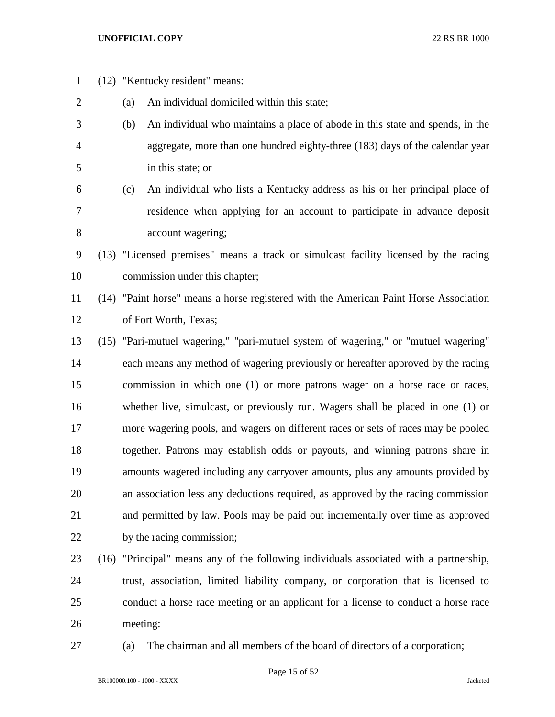- (12) "Kentucky resident" means: (a) An individual domiciled within this state; (b) An individual who maintains a place of abode in this state and spends, in the aggregate, more than one hundred eighty-three (183) days of the calendar year in this state; or (c) An individual who lists a Kentucky address as his or her principal place of residence when applying for an account to participate in advance deposit account wagering; (13) "Licensed premises" means a track or simulcast facility licensed by the racing commission under this chapter; (14) "Paint horse" means a horse registered with the American Paint Horse Association of Fort Worth, Texas; (15) "Pari-mutuel wagering," "pari-mutuel system of wagering," or "mutuel wagering" each means any method of wagering previously or hereafter approved by the racing commission in which one (1) or more patrons wager on a horse race or races, whether live, simulcast, or previously run. Wagers shall be placed in one (1) or more wagering pools, and wagers on different races or sets of races may be pooled together. Patrons may establish odds or payouts, and winning patrons share in amounts wagered including any carryover amounts, plus any amounts provided by an association less any deductions required, as approved by the racing commission and permitted by law. Pools may be paid out incrementally over time as approved by the racing commission; (16) "Principal" means any of the following individuals associated with a partnership, trust, association, limited liability company, or corporation that is licensed to conduct a horse race meeting or an applicant for a license to conduct a horse race
- meeting:
- 

(a) The chairman and all members of the board of directors of a corporation;

Page 15 of 52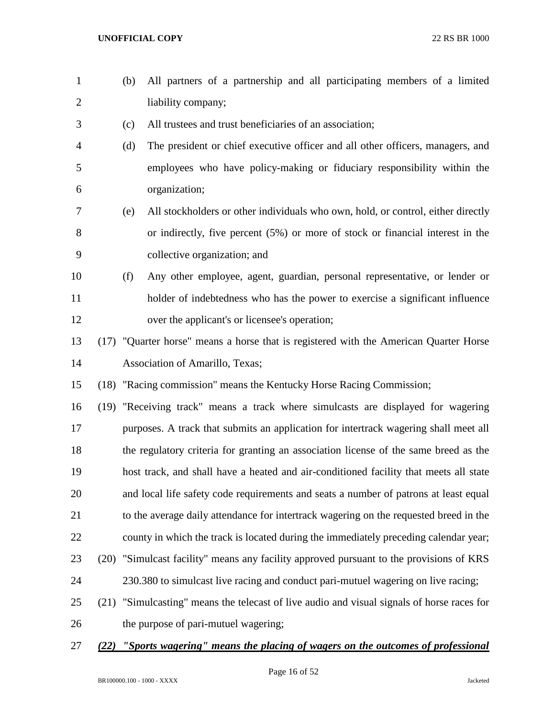- (b) All partners of a partnership and all participating members of a limited liability company;
- (c) All trustees and trust beneficiaries of an association;
- (d) The president or chief executive officer and all other officers, managers, and employees who have policy-making or fiduciary responsibility within the organization;
- (e) All stockholders or other individuals who own, hold, or control, either directly or indirectly, five percent (5%) or more of stock or financial interest in the collective organization; and
- (f) Any other employee, agent, guardian, personal representative, or lender or holder of indebtedness who has the power to exercise a significant influence over the applicant's or licensee's operation;
- (17) "Quarter horse" means a horse that is registered with the American Quarter Horse Association of Amarillo, Texas;
- (18) "Racing commission" means the Kentucky Horse Racing Commission;

 (19) "Receiving track" means a track where simulcasts are displayed for wagering purposes. A track that submits an application for intertrack wagering shall meet all the regulatory criteria for granting an association license of the same breed as the host track, and shall have a heated and air-conditioned facility that meets all state and local life safety code requirements and seats a number of patrons at least equal to the average daily attendance for intertrack wagering on the requested breed in the county in which the track is located during the immediately preceding calendar year; (20) "Simulcast facility" means any facility approved pursuant to the provisions of KRS 230.380 to simulcast live racing and conduct pari-mutuel wagering on live racing; (21) "Simulcasting" means the telecast of live audio and visual signals of horse races for

- the purpose of pari-mutuel wagering;
- *(22) "Sports wagering" means the placing of wagers on the outcomes of professional*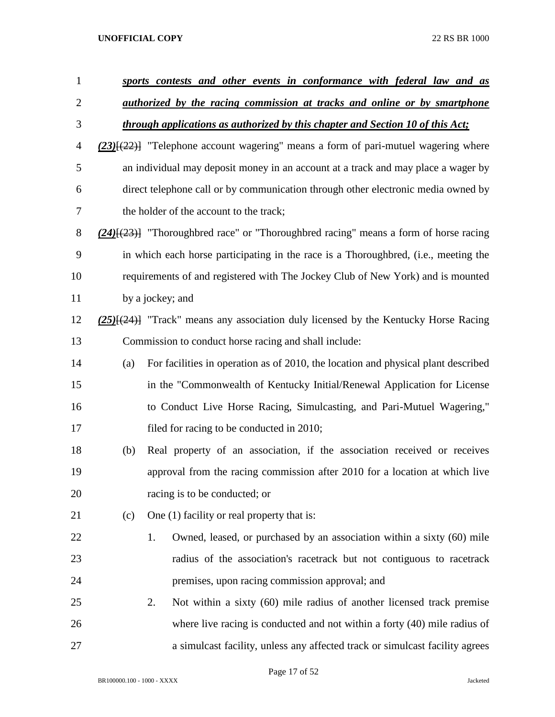| $\mathbf{1}$   |     | sports contests and other events in conformance with federal law and as                     |
|----------------|-----|---------------------------------------------------------------------------------------------|
| $\overline{2}$ |     | <i>authorized by the racing commission at tracks and online or by smartphone</i>            |
| 3              |     | through applications as authorized by this chapter and Section 10 of this Act;              |
| 4              |     | $(23)$ [ $(22)$ ] "Telephone account wagering" means a form of pari-mutuel wagering where   |
| 5              |     | an individual may deposit money in an account at a track and may place a wager by           |
| 6              |     | direct telephone call or by communication through other electronic media owned by           |
| 7              |     | the holder of the account to the track;                                                     |
| 8              |     | $(24)$ [ $(23)$ ] "Thoroughbred race" or "Thoroughbred racing" means a form of horse racing |
| 9              |     | in which each horse participating in the race is a Thoroughbred, (i.e., meeting the         |
| 10             |     | requirements of and registered with The Jockey Club of New York) and is mounted             |
| 11             |     | by a jockey; and                                                                            |
| 12             |     | $(25)$ $\{(24)$ "Track" means any association duly licensed by the Kentucky Horse Racing    |
| 13             |     | Commission to conduct horse racing and shall include:                                       |
| 14             | (a) | For facilities in operation as of 2010, the location and physical plant described           |
| 15             |     | in the "Commonwealth of Kentucky Initial/Renewal Application for License                    |
| 16             |     | to Conduct Live Horse Racing, Simulcasting, and Pari-Mutuel Wagering,"                      |
| 17             |     | filed for racing to be conducted in 2010;                                                   |
| 18             | (b) | Real property of an association, if the association received or receives                    |
| 19             |     | approval from the racing commission after 2010 for a location at which live                 |
| 20             |     | racing is to be conducted; or                                                               |
| 21             | (c) | One (1) facility or real property that is:                                                  |
| 22             |     | Owned, leased, or purchased by an association within a sixty (60) mile<br>1.                |
| 23             |     | radius of the association's racetrack but not contiguous to racetrack                       |
| 24             |     | premises, upon racing commission approval; and                                              |
| 25             |     | Not within a sixty (60) mile radius of another licensed track premise<br>2.                 |
| 26             |     | where live racing is conducted and not within a forty (40) mile radius of                   |
| 27             |     | a simulcast facility, unless any affected track or simulcast facility agrees                |

Page 17 of 52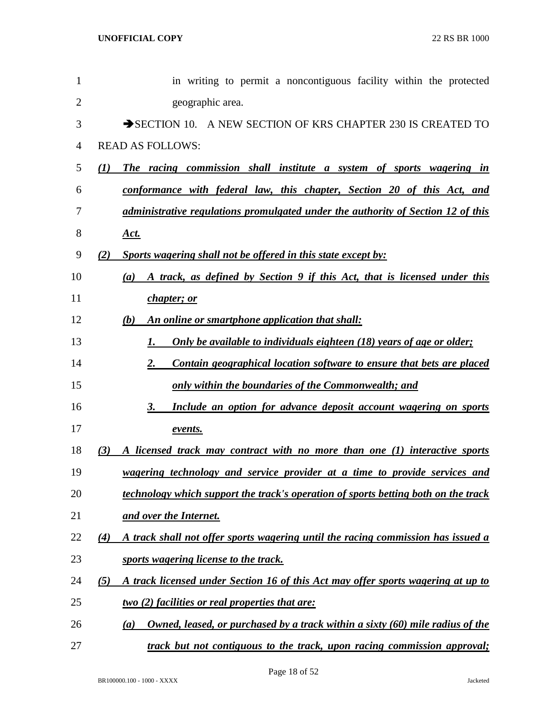| 1              | in writing to permit a noncontiguous facility within the protected                      |
|----------------|-----------------------------------------------------------------------------------------|
| $\overline{2}$ | geographic area.                                                                        |
| 3              | SECTION 10. A NEW SECTION OF KRS CHAPTER 230 IS CREATED TO                              |
| $\overline{4}$ | <b>READ AS FOLLOWS:</b>                                                                 |
| 5              | The racing commission shall institute a system of sports wagering in<br>(1)             |
| 6              | conformance with federal law, this chapter, Section 20 of this Act, and                 |
| 7              | administrative regulations promulgated under the authority of Section 12 of this        |
| 8              | <u>Act.</u>                                                                             |
| 9              | Sports wagering shall not be offered in this state except by:<br>(2)                    |
| 10             | A track, as defined by Section 9 if this Act, that is licensed under this<br>(a)        |
| 11             | <i>chapter</i> ; or                                                                     |
| 12             | An online or smartphone application that shall:<br>(b)                                  |
| 13             | Only be available to individuals eighteen (18) years of age or older;<br>1.             |
| 14             | 2.<br>Contain geographical location software to ensure that bets are placed             |
| 15             | only within the boundaries of the Commonwealth; and                                     |
| 16             | Include an option for advance deposit account wagering on sports<br>3.                  |
| 17             | events.                                                                                 |
| 18             | (3)<br>A licensed track may contract with no more than one (1) interactive sports       |
| 19             | wagering technology and service provider at a time to provide services and              |
| 20             | technology which support the track's operation of sports betting both on the track      |
| 21             | and over the Internet.                                                                  |
| 22             | A track shall not offer sports wagering until the racing commission has issued a<br>(4) |
| 23             | sports wagering license to the track.                                                   |
| 24             | (5)<br>A track licensed under Section 16 of this Act may offer sports wagering at up to |
| 25             | two (2) facilities or real properties that are:                                         |
| 26             | Owned, leased, or purchased by a track within a sixty (60) mile radius of the<br>(a)    |
| 27             | track but not contiguous to the track, upon racing commission approval;                 |

Page 18 of 52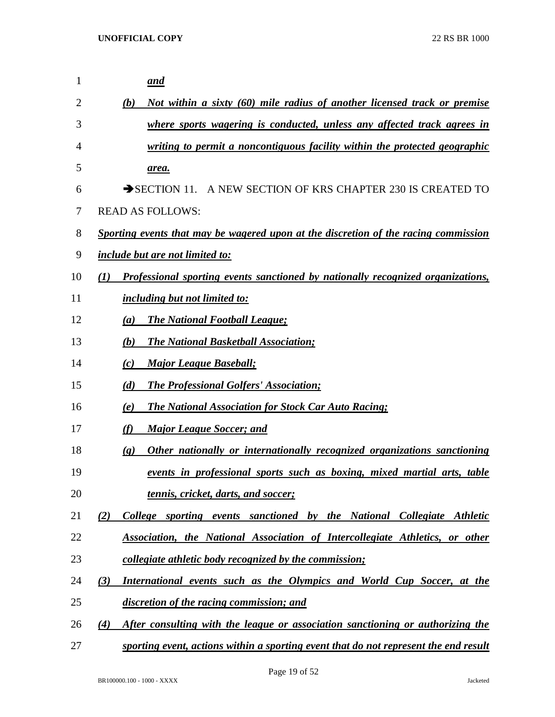| 1  | and                                                                                                     |
|----|---------------------------------------------------------------------------------------------------------|
| 2  | Not within a sixty (60) mile radius of another licensed track or premise<br>(b)                         |
| 3  | where sports wagering is conducted, unless any affected track agrees in                                 |
| 4  | writing to permit a noncontiguous facility within the protected geographic                              |
| 5  | <u>area.</u>                                                                                            |
| 6  | A NEW SECTION OF KRS CHAPTER 230 IS CREATED TO<br>$\rightarrow$ SECTION 11.                             |
| 7  | <b>READ AS FOLLOWS:</b>                                                                                 |
| 8  | Sporting events that may be wagered upon at the discretion of the racing commission                     |
| 9  | <i>include but are not limited to:</i>                                                                  |
| 10 | Professional sporting events sanctioned by nationally recognized organizations,<br>(I)                  |
| 11 | including but not limited to:                                                                           |
| 12 | <b>The National Football League;</b><br>(a)                                                             |
| 13 | <b>The National Basketball Association;</b><br>(b)                                                      |
| 14 | <b>Major League Baseball;</b><br>(c)                                                                    |
| 15 | <b>The Professional Golfers' Association;</b><br>(d)                                                    |
| 16 | <b>The National Association for Stock Car Auto Racing;</b><br>(e)                                       |
| 17 | <b>Major League Soccer; and</b><br>(f)                                                                  |
| 18 | Other nationally or internationally recognized organizations sanctioning<br>$\left( \mathbf{g} \right)$ |
| 19 | events in professional sports such as boxing, mixed martial arts, table                                 |
| 20 | <u>tennis, cricket, darts, and soccer;</u>                                                              |
| 21 | College sporting events sanctioned by the National Collegiate Athletic<br>(2)                           |
| 22 | Association, the National Association of Intercollegiate Athletics, or other                            |
| 23 | collegiate athletic body recognized by the commission;                                                  |
| 24 | International events such as the Olympics and World Cup Soccer, at the<br>(3)                           |
| 25 | discretion of the racing commission; and                                                                |
| 26 | After consulting with the league or association sanctioning or authorizing the<br>(4)                   |
| 27 | sporting event, actions within a sporting event that do not represent the end result                    |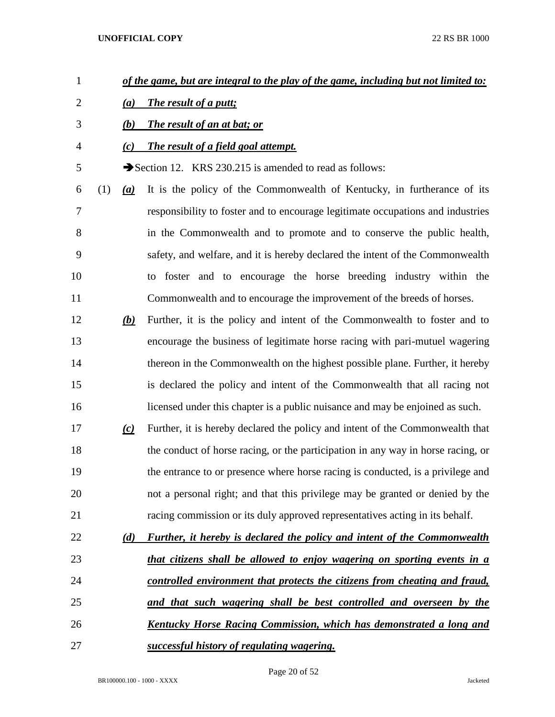- *of the game, but are integral to the play of the game, including but not limited to:*
- *(a) The result of a putt;*
- *(b) The result of an at bat; or*
- *(c) The result of a field goal attempt.*

5 Section 12. KRS 230.215 is amended to read as follows:

 (1) *(a)* It is the policy of the Commonwealth of Kentucky, in furtherance of its responsibility to foster and to encourage legitimate occupations and industries in the Commonwealth and to promote and to conserve the public health, safety, and welfare, and it is hereby declared the intent of the Commonwealth to foster and to encourage the horse breeding industry within the Commonwealth and to encourage the improvement of the breeds of horses.

- *(b)* Further, it is the policy and intent of the Commonwealth to foster and to encourage the business of legitimate horse racing with pari-mutuel wagering thereon in the Commonwealth on the highest possible plane. Further, it hereby is declared the policy and intent of the Commonwealth that all racing not licensed under this chapter is a public nuisance and may be enjoined as such.
- *(c)* Further, it is hereby declared the policy and intent of the Commonwealth that the conduct of horse racing, or the participation in any way in horse racing, or the entrance to or presence where horse racing is conducted, is a privilege and not a personal right; and that this privilege may be granted or denied by the racing commission or its duly approved representatives acting in its behalf.

| 22 | (d) | <b>Further, it hereby is declared the policy and intent of the Commonwealth</b> |
|----|-----|---------------------------------------------------------------------------------|
| 23 |     | that citizens shall be allowed to enjoy wagering on sporting events in a        |
| 24 |     | controlled environment that protects the citizens from cheating and fraud,      |
| 25 |     | and that such wagering shall be best controlled and overseen by the             |
| 26 |     | Kentucky Horse Racing Commission, which has demonstrated a long and             |
| 27 |     | successful history of regulating wagering.                                      |

Page 20 of 52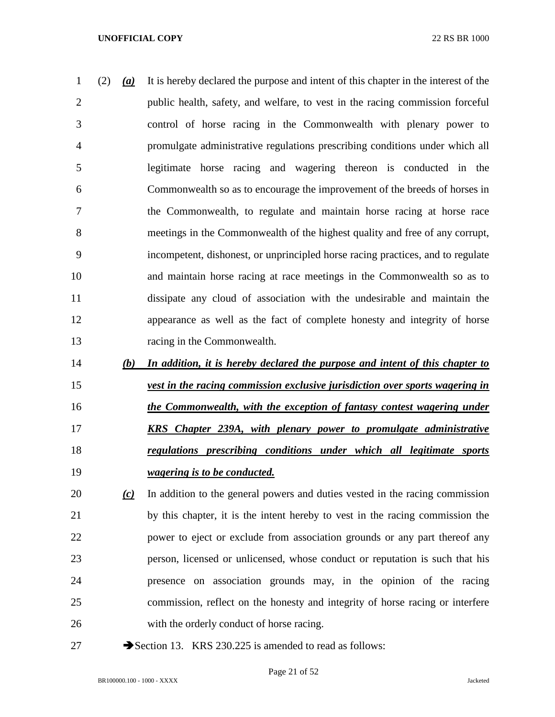(2) *(a)* It is hereby declared the purpose and intent of this chapter in the interest of the public health, safety, and welfare, to vest in the racing commission forceful control of horse racing in the Commonwealth with plenary power to promulgate administrative regulations prescribing conditions under which all legitimate horse racing and wagering thereon is conducted in the Commonwealth so as to encourage the improvement of the breeds of horses in the Commonwealth, to regulate and maintain horse racing at horse race meetings in the Commonwealth of the highest quality and free of any corrupt, incompetent, dishonest, or unprincipled horse racing practices, and to regulate and maintain horse racing at race meetings in the Commonwealth so as to dissipate any cloud of association with the undesirable and maintain the appearance as well as the fact of complete honesty and integrity of horse racing in the Commonwealth.

- *(b) In addition, it is hereby declared the purpose and intent of this chapter to vest in the racing commission exclusive jurisdiction over sports wagering in the Commonwealth, with the exception of fantasy contest wagering under KRS Chapter 239A, with plenary power to promulgate administrative regulations prescribing conditions under which all legitimate sports wagering is to be conducted.*
- *(c)* In addition to the general powers and duties vested in the racing commission by this chapter, it is the intent hereby to vest in the racing commission the power to eject or exclude from association grounds or any part thereof any person, licensed or unlicensed, whose conduct or reputation is such that his presence on association grounds may, in the opinion of the racing commission, reflect on the honesty and integrity of horse racing or interfere with the orderly conduct of horse racing.
- 
- 27 Section 13. KRS 230.225 is amended to read as follows: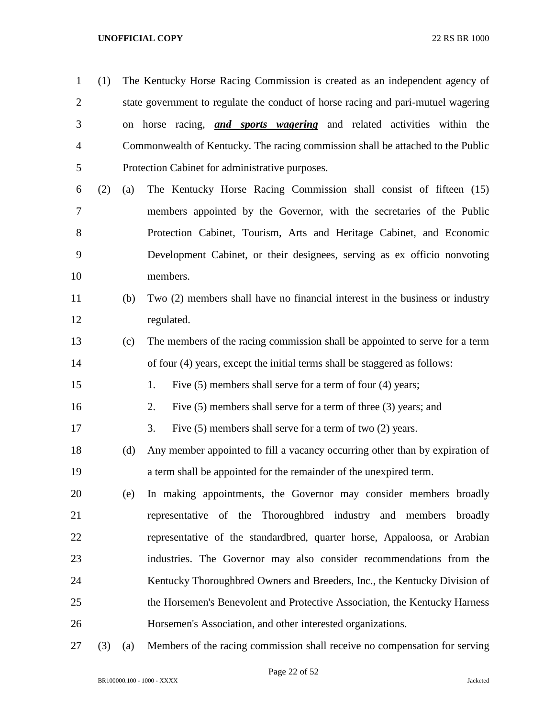| $\mathbf{1}$   | (1) |     | The Kentucky Horse Racing Commission is created as an independent agency of       |
|----------------|-----|-----|-----------------------------------------------------------------------------------|
| $\overline{2}$ |     |     | state government to regulate the conduct of horse racing and pari-mutuel wagering |
| 3              |     | on  | horse racing, <i>and sports wagering</i> and related activities within the        |
| 4              |     |     | Commonwealth of Kentucky. The racing commission shall be attached to the Public   |
| 5              |     |     | Protection Cabinet for administrative purposes.                                   |
| 6              | (2) | (a) | The Kentucky Horse Racing Commission shall consist of fifteen (15)                |
| 7              |     |     | members appointed by the Governor, with the secretaries of the Public             |
| 8              |     |     | Protection Cabinet, Tourism, Arts and Heritage Cabinet, and Economic              |
| 9              |     |     | Development Cabinet, or their designees, serving as ex officio nonvoting          |
| 10             |     |     | members.                                                                          |
| 11             |     | (b) | Two (2) members shall have no financial interest in the business or industry      |
| 12             |     |     | regulated.                                                                        |
| 13             |     | (c) | The members of the racing commission shall be appointed to serve for a term       |
| 14             |     |     | of four (4) years, except the initial terms shall be staggered as follows:        |
| 15             |     |     | Five (5) members shall serve for a term of four (4) years;<br>1.                  |
| 16             |     |     | Five $(5)$ members shall serve for a term of three $(3)$ years; and<br>2.         |
| 17             |     |     | 3.<br>Five $(5)$ members shall serve for a term of two $(2)$ years.               |
| 18             |     | (d) | Any member appointed to fill a vacancy occurring other than by expiration of      |
| 19             |     |     | a term shall be appointed for the remainder of the unexpired term.                |
| 20             |     | (e) | In making appointments, the Governor may consider members broadly                 |
| 21             |     |     | representative of the Thoroughbred industry and members<br>broadly                |
| 22             |     |     | representative of the standardbred, quarter horse, Appaloosa, or Arabian          |
| 23             |     |     | industries. The Governor may also consider recommendations from the               |
| 24             |     |     | Kentucky Thoroughbred Owners and Breeders, Inc., the Kentucky Division of         |
| 25             |     |     | the Horsemen's Benevolent and Protective Association, the Kentucky Harness        |
| 26             |     |     | Horsemen's Association, and other interested organizations.                       |
|                |     |     |                                                                                   |

(3) (a) Members of the racing commission shall receive no compensation for serving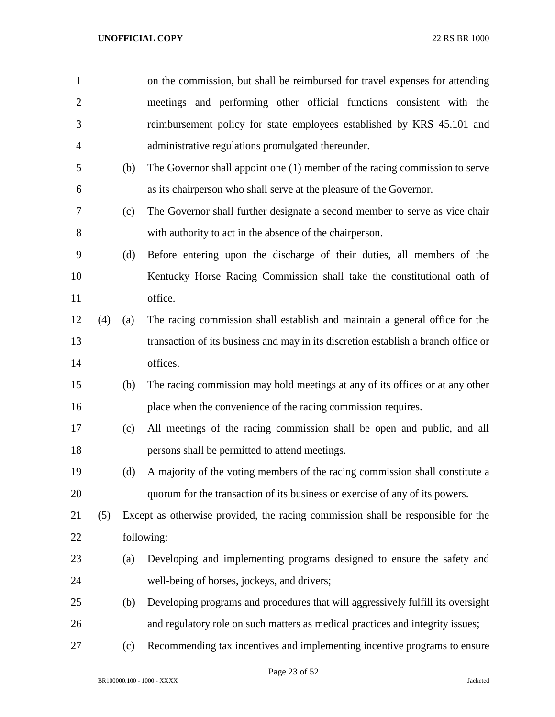| $\mathbf{1}$   |     |     | on the commission, but shall be reimbursed for travel expenses for attending       |
|----------------|-----|-----|------------------------------------------------------------------------------------|
| $\overline{2}$ |     |     | meetings and performing other official functions consistent with the               |
| 3              |     |     | reimbursement policy for state employees established by KRS 45.101 and             |
| $\overline{4}$ |     |     | administrative regulations promulgated thereunder.                                 |
| 5              |     | (b) | The Governor shall appoint one (1) member of the racing commission to serve        |
| 6              |     |     | as its chairperson who shall serve at the pleasure of the Governor.                |
| $\tau$         |     | (c) | The Governor shall further designate a second member to serve as vice chair        |
| 8              |     |     | with authority to act in the absence of the chairperson.                           |
| 9              |     | (d) | Before entering upon the discharge of their duties, all members of the             |
| 10             |     |     | Kentucky Horse Racing Commission shall take the constitutional oath of             |
| 11             |     |     | office.                                                                            |
| 12             | (4) | (a) | The racing commission shall establish and maintain a general office for the        |
| 13             |     |     | transaction of its business and may in its discretion establish a branch office or |
| 14             |     |     | offices.                                                                           |
| 15             |     | (b) | The racing commission may hold meetings at any of its offices or at any other      |
| 16             |     |     | place when the convenience of the racing commission requires.                      |
| 17             |     | (c) | All meetings of the racing commission shall be open and public, and all            |
| 18             |     |     | persons shall be permitted to attend meetings.                                     |
| 19             |     | (d) | A majority of the voting members of the racing commission shall constitute a       |
| 20             |     |     | quorum for the transaction of its business or exercise of any of its powers.       |
| 21             | (5) |     | Except as otherwise provided, the racing commission shall be responsible for the   |
| 22             |     |     | following:                                                                         |
| 23             |     | (a) | Developing and implementing programs designed to ensure the safety and             |
| 24             |     |     | well-being of horses, jockeys, and drivers;                                        |
| 25             |     | (b) | Developing programs and procedures that will aggressively fulfill its oversight    |
| 26             |     |     | and regulatory role on such matters as medical practices and integrity issues;     |
| 27             |     | (c) | Recommending tax incentives and implementing incentive programs to ensure          |

Page 23 of 52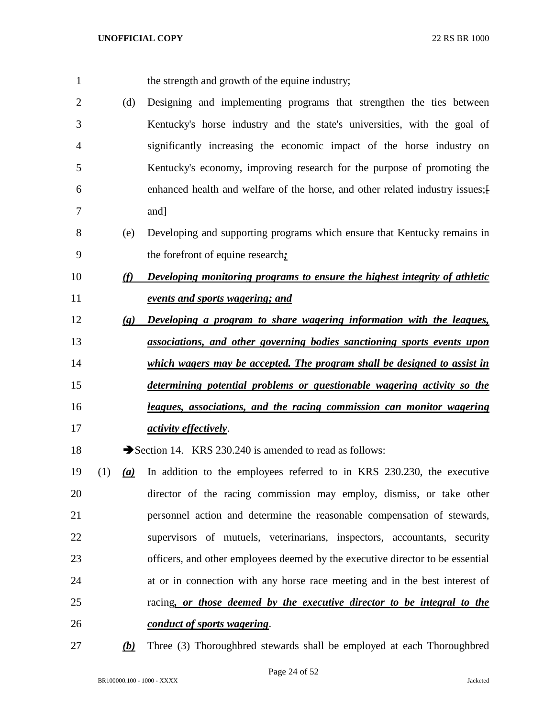| $\mathbf{1}$   |     |                             | the strength and growth of the equine industry;                                |
|----------------|-----|-----------------------------|--------------------------------------------------------------------------------|
| $\overline{2}$ |     | (d)                         | Designing and implementing programs that strengthen the ties between           |
| 3              |     |                             | Kentucky's horse industry and the state's universities, with the goal of       |
| 4              |     |                             | significantly increasing the economic impact of the horse industry on          |
| 5              |     |                             | Kentucky's economy, improving research for the purpose of promoting the        |
| 6              |     |                             | enhanced health and welfare of the horse, and other related industry issues; [ |
| 7              |     |                             | and <sub>1</sub>                                                               |
| 8              |     | (e)                         | Developing and supporting programs which ensure that Kentucky remains in       |
| 9              |     |                             | the forefront of equine research:                                              |
| 10             |     | (f)                         | Developing monitoring programs to ensure the highest integrity of athletic     |
| 11             |     |                             | events and sports wagering; and                                                |
| 12             |     | $\left( \mathbf{g} \right)$ | Developing a program to share wagering information with the leagues,           |
| 13             |     |                             | associations, and other governing bodies sanctioning sports events upon        |
| 14             |     |                             | which wagers may be accepted. The program shall be designed to assist in       |
| 15             |     |                             | determining potential problems or questionable wagering activity so the        |
| 16             |     |                             | leagues, associations, and the racing commission can monitor wagering          |
| 17             |     |                             | <i>activity effectively.</i>                                                   |
| 18             |     |                             | Section 14. KRS 230.240 is amended to read as follows:                         |
| 19             | (1) | (a)                         | In addition to the employees referred to in KRS 230.230, the executive         |
| 20             |     |                             | director of the racing commission may employ, dismiss, or take other           |
| 21             |     |                             | personnel action and determine the reasonable compensation of stewards,        |
| 22             |     |                             | supervisors of mutuels, veterinarians, inspectors, accountants, security       |
| 23             |     |                             | officers, and other employees deemed by the executive director to be essential |
| 24             |     |                             | at or in connection with any horse race meeting and in the best interest of    |
| 25             |     |                             | racing, or those deemed by the executive director to be integral to the        |
| 26             |     |                             | conduct of sports wagering.                                                    |
| 27             |     | (b)                         | Three (3) Thoroughbred stewards shall be employed at each Thoroughbred         |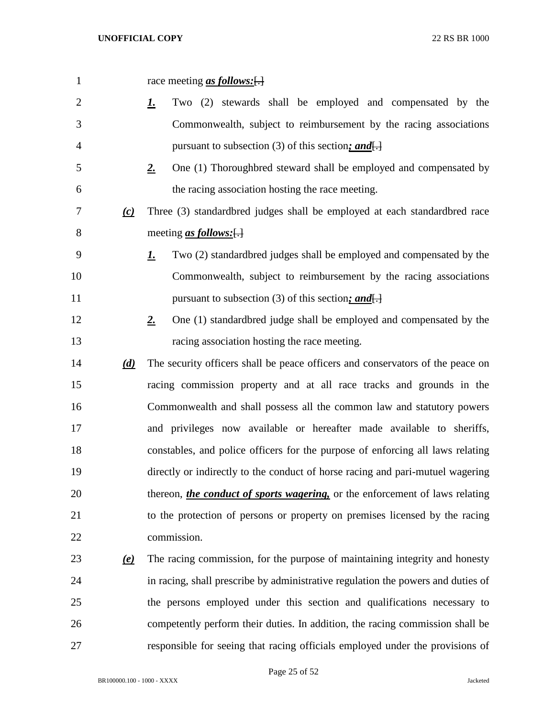| $\mathbf{1}$   |                           | race meeting <u>as follows:</u> [.]                                                  |
|----------------|---------------------------|--------------------------------------------------------------------------------------|
| $\overline{2}$ |                           | Two (2) stewards shall be employed and compensated by the<br><u>L</u>                |
| 3              |                           | Commonwealth, subject to reimbursement by the racing associations                    |
| 4              |                           | pursuant to subsection (3) of this section; and $\Box$                               |
| 5              |                           | One (1) Thoroughbred steward shall be employed and compensated by<br>$2_{\cdot}$     |
| 6              |                           | the racing association hosting the race meeting.                                     |
| 7              | (c)                       | Three (3) standardbred judges shall be employed at each standardbred race            |
| 8              |                           | meeting <u>as follows:</u> $\left\{ \cdot \right\}$                                  |
| 9              |                           | Two (2) standardbred judges shall be employed and compensated by the<br><u>1.</u>    |
| 10             |                           | Commonwealth, subject to reimbursement by the racing associations                    |
| 11             |                           | pursuant to subsection (3) of this section; and $\Box$                               |
| 12             |                           | One (1) standardbred judge shall be employed and compensated by the<br>$2_{\cdot}$   |
| 13             |                           | racing association hosting the race meeting.                                         |
| 14             | $\underline{d}$           | The security officers shall be peace officers and conservators of the peace on       |
| 15             |                           | racing commission property and at all race tracks and grounds in the                 |
| 16             |                           | Commonwealth and shall possess all the common law and statutory powers               |
| 17             |                           | and privileges now available or hereafter made available to sheriffs,                |
| 18             |                           | constables, and police officers for the purpose of enforcing all laws relating       |
| 19             |                           | directly or indirectly to the conduct of horse racing and pari-mutuel wagering       |
| 20             |                           | thereon, <i>the conduct of sports wagering</i> , or the enforcement of laws relating |
| 21             |                           | to the protection of persons or property on premises licensed by the racing          |
| 22             |                           | commission.                                                                          |
| 23             | $\left(\mathbf{e}\right)$ | The racing commission, for the purpose of maintaining integrity and honesty          |
| 24             |                           | in racing, shall prescribe by administrative regulation the powers and duties of     |
| 25             |                           | the persons employed under this section and qualifications necessary to              |
| 26             |                           | competently perform their duties. In addition, the racing commission shall be        |
| 27             |                           | responsible for seeing that racing officials employed under the provisions of        |

Page 25 of 52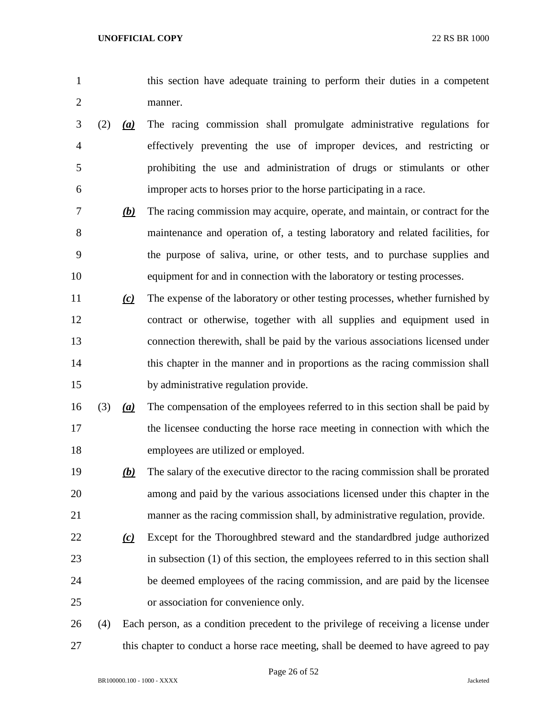- this section have adequate training to perform their duties in a competent manner.
- (2) *(a)* The racing commission shall promulgate administrative regulations for effectively preventing the use of improper devices, and restricting or prohibiting the use and administration of drugs or stimulants or other improper acts to horses prior to the horse participating in a race.
- *(b)* The racing commission may acquire, operate, and maintain, or contract for the maintenance and operation of, a testing laboratory and related facilities, for the purpose of saliva, urine, or other tests, and to purchase supplies and equipment for and in connection with the laboratory or testing processes.
- *(c)* The expense of the laboratory or other testing processes, whether furnished by contract or otherwise, together with all supplies and equipment used in connection therewith, shall be paid by the various associations licensed under this chapter in the manner and in proportions as the racing commission shall by administrative regulation provide.
- (3) *(a)* The compensation of the employees referred to in this section shall be paid by the licensee conducting the horse race meeting in connection with which the employees are utilized or employed.
- *(b)* The salary of the executive director to the racing commission shall be prorated among and paid by the various associations licensed under this chapter in the manner as the racing commission shall, by administrative regulation, provide.
- *(c)* Except for the Thoroughbred steward and the standardbred judge authorized in subsection (1) of this section, the employees referred to in this section shall be deemed employees of the racing commission, and are paid by the licensee or association for convenience only.

 (4) Each person, as a condition precedent to the privilege of receiving a license under 27 this chapter to conduct a horse race meeting, shall be deemed to have agreed to pay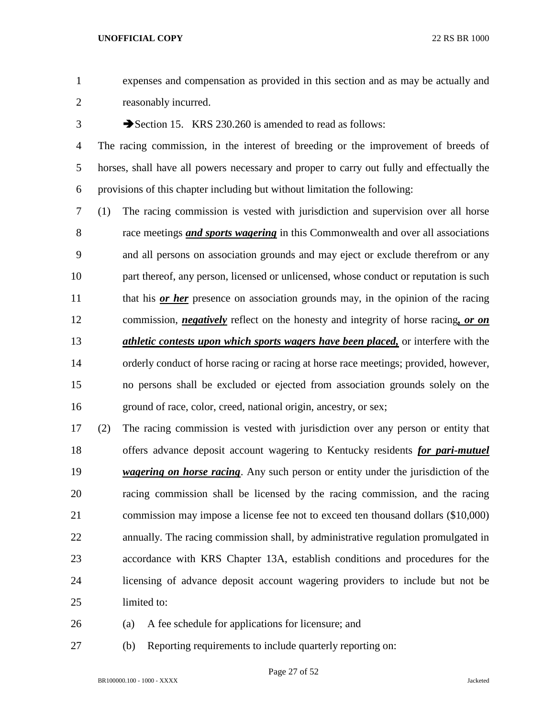expenses and compensation as provided in this section and as may be actually and reasonably incurred.

3 Section 15. KRS 230.260 is amended to read as follows:

 The racing commission, in the interest of breeding or the improvement of breeds of horses, shall have all powers necessary and proper to carry out fully and effectually the provisions of this chapter including but without limitation the following:

 (1) The racing commission is vested with jurisdiction and supervision over all horse race meetings *and sports wagering* in this Commonwealth and over all associations and all persons on association grounds and may eject or exclude therefrom or any 10 part thereof, any person, licensed or unlicensed, whose conduct or reputation is such 11 that his *or her* presence on association grounds may, in the opinion of the racing commission, *negatively* reflect on the honesty and integrity of horse racing*, or on athletic contests upon which sports wagers have been placed,* or interfere with the orderly conduct of horse racing or racing at horse race meetings; provided, however, no persons shall be excluded or ejected from association grounds solely on the ground of race, color, creed, national origin, ancestry, or sex;

 (2) The racing commission is vested with jurisdiction over any person or entity that offers advance deposit account wagering to Kentucky residents *for pari-mutuel wagering on horse racing*. Any such person or entity under the jurisdiction of the racing commission shall be licensed by the racing commission, and the racing commission may impose a license fee not to exceed ten thousand dollars (\$10,000) annually. The racing commission shall, by administrative regulation promulgated in accordance with KRS Chapter 13A, establish conditions and procedures for the licensing of advance deposit account wagering providers to include but not be limited to:

- (a) A fee schedule for applications for licensure; and
- (b) Reporting requirements to include quarterly reporting on: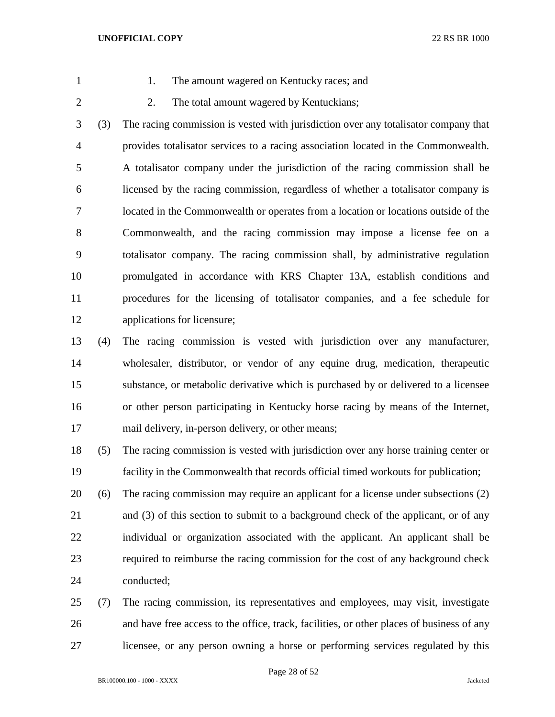- 
- 1. The amount wagered on Kentucky races; and
- 
- 2 2. The total amount wagered by Kentuckians;

 (3) The racing commission is vested with jurisdiction over any totalisator company that provides totalisator services to a racing association located in the Commonwealth. A totalisator company under the jurisdiction of the racing commission shall be licensed by the racing commission, regardless of whether a totalisator company is located in the Commonwealth or operates from a location or locations outside of the Commonwealth, and the racing commission may impose a license fee on a totalisator company. The racing commission shall, by administrative regulation promulgated in accordance with KRS Chapter 13A, establish conditions and procedures for the licensing of totalisator companies, and a fee schedule for applications for licensure;

 (4) The racing commission is vested with jurisdiction over any manufacturer, wholesaler, distributor, or vendor of any equine drug, medication, therapeutic substance, or metabolic derivative which is purchased by or delivered to a licensee or other person participating in Kentucky horse racing by means of the Internet, mail delivery, in-person delivery, or other means;

 (5) The racing commission is vested with jurisdiction over any horse training center or facility in the Commonwealth that records official timed workouts for publication;

 (6) The racing commission may require an applicant for a license under subsections (2) 21 and (3) of this section to submit to a background check of the applicant, or of any individual or organization associated with the applicant. An applicant shall be required to reimburse the racing commission for the cost of any background check conducted;

 (7) The racing commission, its representatives and employees, may visit, investigate and have free access to the office, track, facilities, or other places of business of any licensee, or any person owning a horse or performing services regulated by this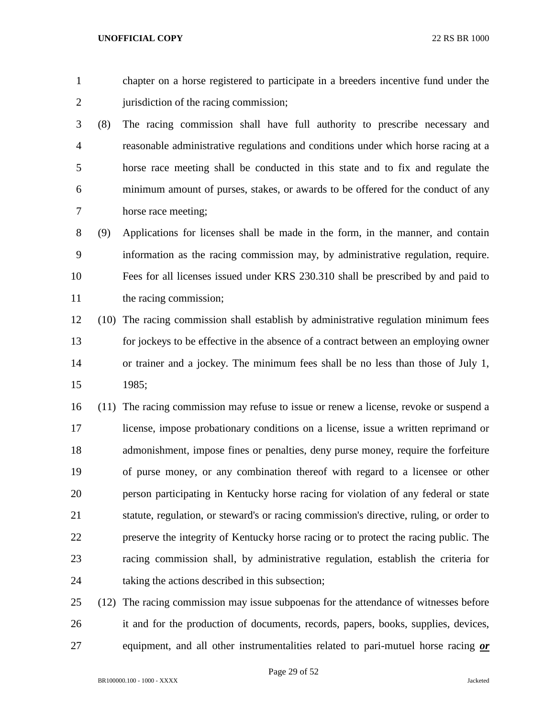chapter on a horse registered to participate in a breeders incentive fund under the 2 jurisdiction of the racing commission;

 (8) The racing commission shall have full authority to prescribe necessary and reasonable administrative regulations and conditions under which horse racing at a horse race meeting shall be conducted in this state and to fix and regulate the minimum amount of purses, stakes, or awards to be offered for the conduct of any horse race meeting;

 (9) Applications for licenses shall be made in the form, in the manner, and contain information as the racing commission may, by administrative regulation, require. Fees for all licenses issued under KRS 230.310 shall be prescribed by and paid to 11 the racing commission;

 (10) The racing commission shall establish by administrative regulation minimum fees for jockeys to be effective in the absence of a contract between an employing owner or trainer and a jockey. The minimum fees shall be no less than those of July 1, 1985;

 (11) The racing commission may refuse to issue or renew a license, revoke or suspend a license, impose probationary conditions on a license, issue a written reprimand or admonishment, impose fines or penalties, deny purse money, require the forfeiture of purse money, or any combination thereof with regard to a licensee or other person participating in Kentucky horse racing for violation of any federal or state statute, regulation, or steward's or racing commission's directive, ruling, or order to preserve the integrity of Kentucky horse racing or to protect the racing public. The racing commission shall, by administrative regulation, establish the criteria for taking the actions described in this subsection;

 (12) The racing commission may issue subpoenas for the attendance of witnesses before it and for the production of documents, records, papers, books, supplies, devices, equipment, and all other instrumentalities related to pari-mutuel horse racing *or*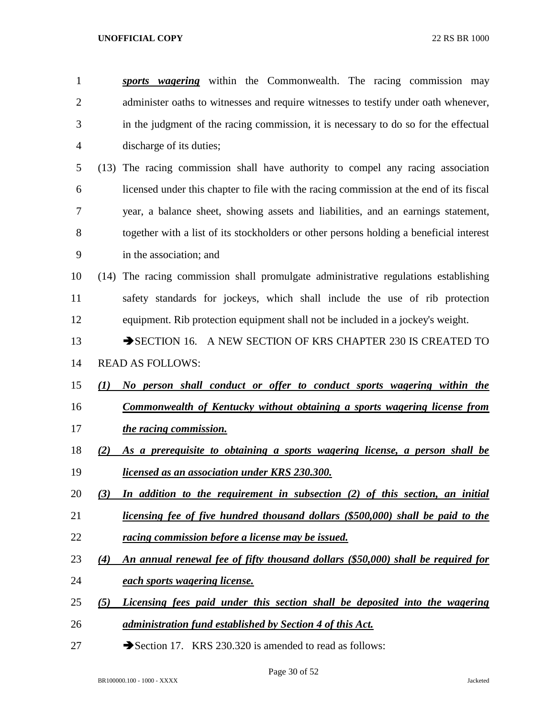*sports wagering* within the Commonwealth. The racing commission may administer oaths to witnesses and require witnesses to testify under oath whenever, in the judgment of the racing commission, it is necessary to do so for the effectual discharge of its duties; (13) The racing commission shall have authority to compel any racing association licensed under this chapter to file with the racing commission at the end of its fiscal year, a balance sheet, showing assets and liabilities, and an earnings statement, together with a list of its stockholders or other persons holding a beneficial interest in the association; and (14) The racing commission shall promulgate administrative regulations establishing safety standards for jockeys, which shall include the use of rib protection equipment. Rib protection equipment shall not be included in a jockey's weight. 13 SECTION 16. A NEW SECTION OF KRS CHAPTER 230 IS CREATED TO READ AS FOLLOWS: *(1) No person shall conduct or offer to conduct sports wagering within the Commonwealth of Kentucky without obtaining a sports wagering license from the racing commission. (2) As a prerequisite to obtaining a sports wagering license, a person shall be licensed as an association under KRS 230.300. (3) In addition to the requirement in subsection (2) of this section, an initial licensing fee of five hundred thousand dollars (\$500,000) shall be paid to the racing commission before a license may be issued. (4) An annual renewal fee of fifty thousand dollars (\$50,000) shall be required for each sports wagering license. (5) Licensing fees paid under this section shall be deposited into the wagering administration fund established by Section 4 of this Act.*

27 Section 17. KRS 230.320 is amended to read as follows: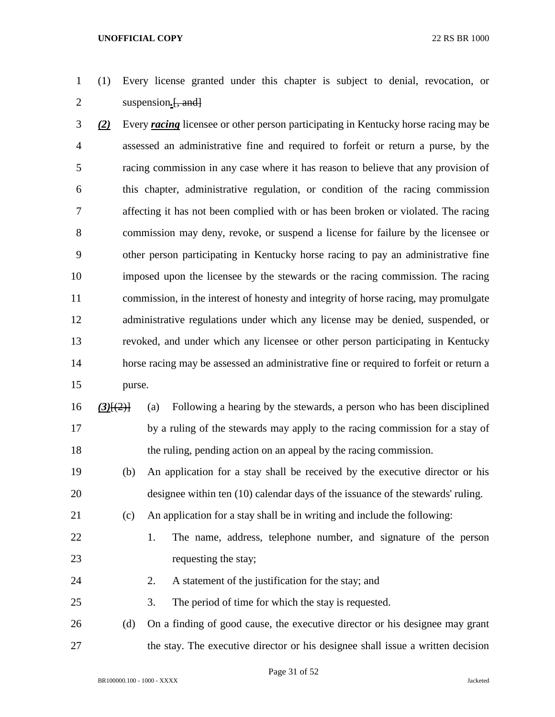- (1) Every license granted under this chapter is subject to denial, revocation, or suspension*.*[, and]
- *(2)* Every *racing* licensee or other person participating in Kentucky horse racing may be assessed an administrative fine and required to forfeit or return a purse, by the racing commission in any case where it has reason to believe that any provision of this chapter, administrative regulation, or condition of the racing commission affecting it has not been complied with or has been broken or violated. The racing commission may deny, revoke, or suspend a license for failure by the licensee or other person participating in Kentucky horse racing to pay an administrative fine imposed upon the licensee by the stewards or the racing commission. The racing commission, in the interest of honesty and integrity of horse racing, may promulgate administrative regulations under which any license may be denied, suspended, or revoked, and under which any licensee or other person participating in Kentucky horse racing may be assessed an administrative fine or required to forfeit or return a purse.
- *(3)*[(2)] (a) Following a hearing by the stewards, a person who has been disciplined by a ruling of the stewards may apply to the racing commission for a stay of the ruling, pending action on an appeal by the racing commission.
- (b) An application for a stay shall be received by the executive director or his designee within ten (10) calendar days of the issuance of the stewards' ruling.
- (c) An application for a stay shall be in writing and include the following:
- 
- 
- 1. The name, address, telephone number, and signature of the person 23 requesting the stay;
- 24 2. A statement of the justification for the stay; and
- 3. The period of time for which the stay is requested.
- (d) On a finding of good cause, the executive director or his designee may grant the stay. The executive director or his designee shall issue a written decision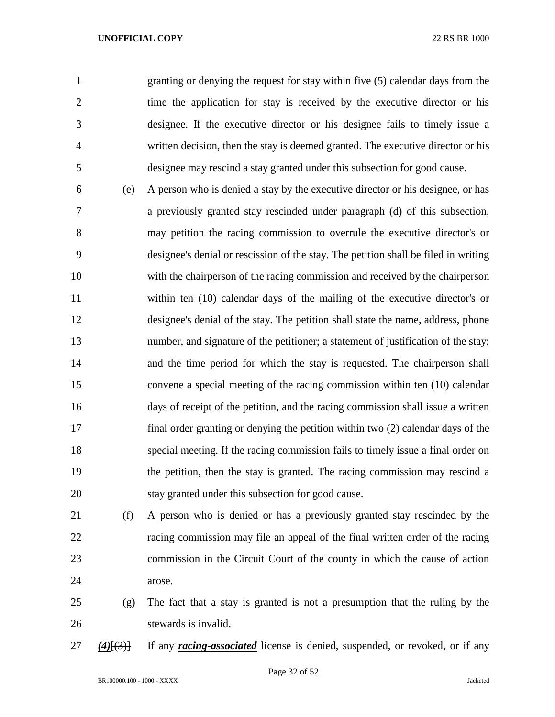granting or denying the request for stay within five (5) calendar days from the time the application for stay is received by the executive director or his designee. If the executive director or his designee fails to timely issue a written decision, then the stay is deemed granted. The executive director or his designee may rescind a stay granted under this subsection for good cause.

- (e) A person who is denied a stay by the executive director or his designee, or has a previously granted stay rescinded under paragraph (d) of this subsection, may petition the racing commission to overrule the executive director's or designee's denial or rescission of the stay. The petition shall be filed in writing with the chairperson of the racing commission and received by the chairperson within ten (10) calendar days of the mailing of the executive director's or designee's denial of the stay. The petition shall state the name, address, phone number, and signature of the petitioner; a statement of justification of the stay; and the time period for which the stay is requested. The chairperson shall convene a special meeting of the racing commission within ten (10) calendar days of receipt of the petition, and the racing commission shall issue a written final order granting or denying the petition within two (2) calendar days of the special meeting. If the racing commission fails to timely issue a final order on the petition, then the stay is granted. The racing commission may rescind a stay granted under this subsection for good cause.
- (f) A person who is denied or has a previously granted stay rescinded by the racing commission may file an appeal of the final written order of the racing commission in the Circuit Court of the county in which the cause of action arose.
- (g) The fact that a stay is granted is not a presumption that the ruling by the stewards is invalid.
- *(4)*[(3)] If any *racing-associated* license is denied, suspended, or revoked, or if any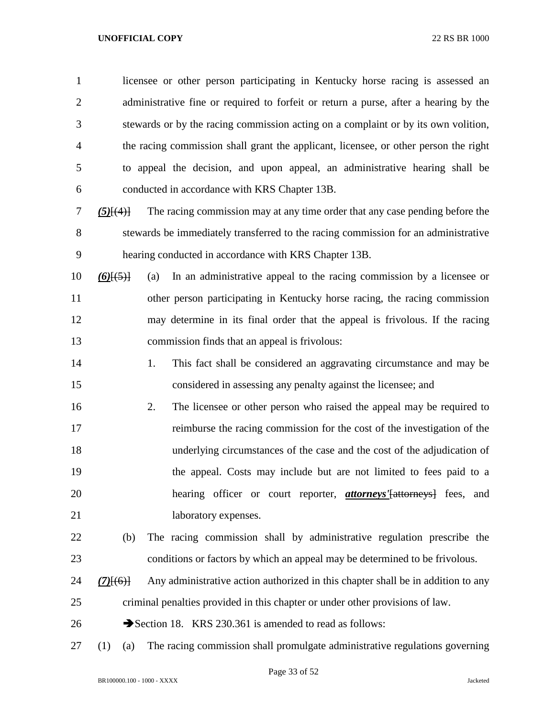| $\mathbf{1}$   |                 | licensee or other person participating in Kentucky horse racing is assessed an       |
|----------------|-----------------|--------------------------------------------------------------------------------------|
| $\overline{2}$ |                 | administrative fine or required to forfeit or return a purse, after a hearing by the |
| 3              |                 | stewards or by the racing commission acting on a complaint or by its own volition,   |
| 4              |                 | the racing commission shall grant the applicant, licensee, or other person the right |
| 5              |                 | to appeal the decision, and upon appeal, an administrative hearing shall be          |
| 6              |                 | conducted in accordance with KRS Chapter 13B.                                        |
| 7              | $(5)$ [ $(4)$ ] | The racing commission may at any time order that any case pending before the         |
| 8              |                 | stewards be immediately transferred to the racing commission for an administrative   |
| 9              |                 | hearing conducted in accordance with KRS Chapter 13B.                                |
| 10             | $(6)$ [ $(5)$ ] | In an administrative appeal to the racing commission by a licensee or<br>(a)         |
| 11             |                 | other person participating in Kentucky horse racing, the racing commission           |
| 12             |                 | may determine in its final order that the appeal is frivolous. If the racing         |
| 13             |                 | commission finds that an appeal is frivolous:                                        |
| 14             |                 | 1.<br>This fact shall be considered an aggravating circumstance and may be           |
| 15             |                 | considered in assessing any penalty against the licensee; and                        |
| 16             |                 | The licensee or other person who raised the appeal may be required to<br>2.          |
| 17             |                 | reimburse the racing commission for the cost of the investigation of the             |
| 18             |                 | underlying circumstances of the case and the cost of the adjudication of             |
| 19             |                 | the appeal. Costs may include but are not limited to fees paid to a                  |
| 20             |                 | hearing officer or court reporter, <i>attorneys'</i> [attorneys] fees, and           |
| 21             |                 | laboratory expenses.                                                                 |
| 22             | (b)             | The racing commission shall by administrative regulation prescribe the               |
| 23             |                 | conditions or factors by which an appeal may be determined to be frivolous.          |
| 24             | $(7)$ [(6)]     | Any administrative action authorized in this chapter shall be in addition to any     |
| 25             |                 | criminal penalties provided in this chapter or under other provisions of law.        |
| 26             |                 | Section 18. KRS 230.361 is amended to read as follows:                               |
| 27             | (1)<br>(a)      | The racing commission shall promulgate administrative regulations governing          |

Page 33 of 52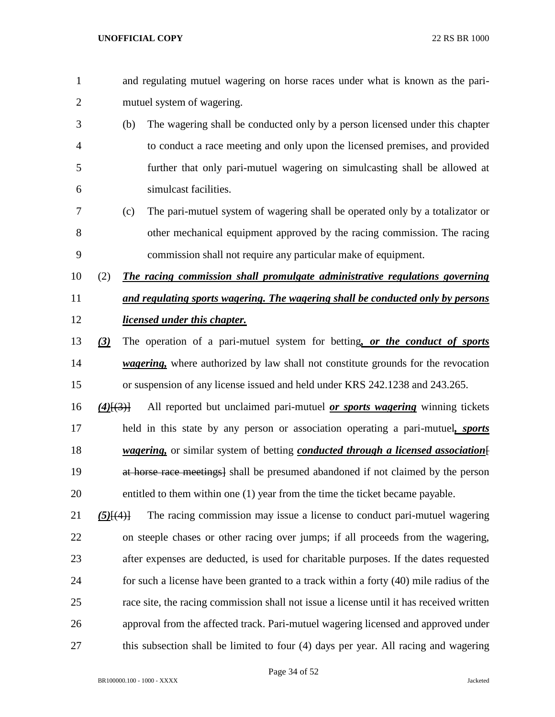- and regulating mutuel wagering on horse races under what is known as the pari-mutuel system of wagering.
- (b) The wagering shall be conducted only by a person licensed under this chapter to conduct a race meeting and only upon the licensed premises, and provided further that only pari-mutuel wagering on simulcasting shall be allowed at simulcast facilities.
- (c) The pari-mutuel system of wagering shall be operated only by a totalizator or other mechanical equipment approved by the racing commission. The racing commission shall not require any particular make of equipment.
- (2) *The racing commission shall promulgate administrative regulations governing and regulating sports wagering. The wagering shall be conducted only by persons licensed under this chapter.*
- *(3)* The operation of a pari-mutuel system for betting*, or the conduct of sports wagering,* where authorized by law shall not constitute grounds for the revocation or suspension of any license issued and held under KRS 242.1238 and 243.265.
- *(4)*[(3)] All reported but unclaimed pari-mutuel *or sports wagering* winning tickets held in this state by any person or association operating a pari-mutuel*, sports wagering,* or similar system of betting *conducted through a licensed association*[ 19 at horse race meetings a shall be presumed abandoned if not claimed by the person entitled to them within one (1) year from the time the ticket became payable.
- *(5)*[(4)] The racing commission may issue a license to conduct pari-mutuel wagering on steeple chases or other racing over jumps; if all proceeds from the wagering, after expenses are deducted, is used for charitable purposes. If the dates requested for such a license have been granted to a track within a forty (40) mile radius of the race site, the racing commission shall not issue a license until it has received written approval from the affected track. Pari-mutuel wagering licensed and approved under this subsection shall be limited to four (4) days per year. All racing and wagering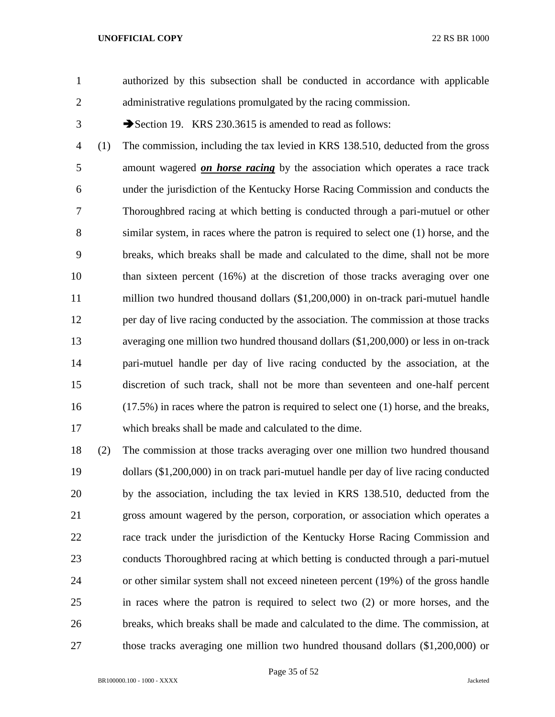authorized by this subsection shall be conducted in accordance with applicable administrative regulations promulgated by the racing commission.

3 Section 19. KRS 230.3615 is amended to read as follows:

 (1) The commission, including the tax levied in KRS 138.510, deducted from the gross amount wagered *on horse racing* by the association which operates a race track under the jurisdiction of the Kentucky Horse Racing Commission and conducts the Thoroughbred racing at which betting is conducted through a pari-mutuel or other similar system, in races where the patron is required to select one (1) horse, and the breaks, which breaks shall be made and calculated to the dime, shall not be more than sixteen percent (16%) at the discretion of those tracks averaging over one million two hundred thousand dollars (\$1,200,000) in on-track pari-mutuel handle per day of live racing conducted by the association. The commission at those tracks averaging one million two hundred thousand dollars (\$1,200,000) or less in on-track pari-mutuel handle per day of live racing conducted by the association, at the discretion of such track, shall not be more than seventeen and one-half percent (17.5%) in races where the patron is required to select one (1) horse, and the breaks, which breaks shall be made and calculated to the dime.

 (2) The commission at those tracks averaging over one million two hundred thousand dollars (\$1,200,000) in on track pari-mutuel handle per day of live racing conducted by the association, including the tax levied in KRS 138.510, deducted from the gross amount wagered by the person, corporation, or association which operates a race track under the jurisdiction of the Kentucky Horse Racing Commission and conducts Thoroughbred racing at which betting is conducted through a pari-mutuel or other similar system shall not exceed nineteen percent (19%) of the gross handle in races where the patron is required to select two (2) or more horses, and the breaks, which breaks shall be made and calculated to the dime. The commission, at those tracks averaging one million two hundred thousand dollars (\$1,200,000) or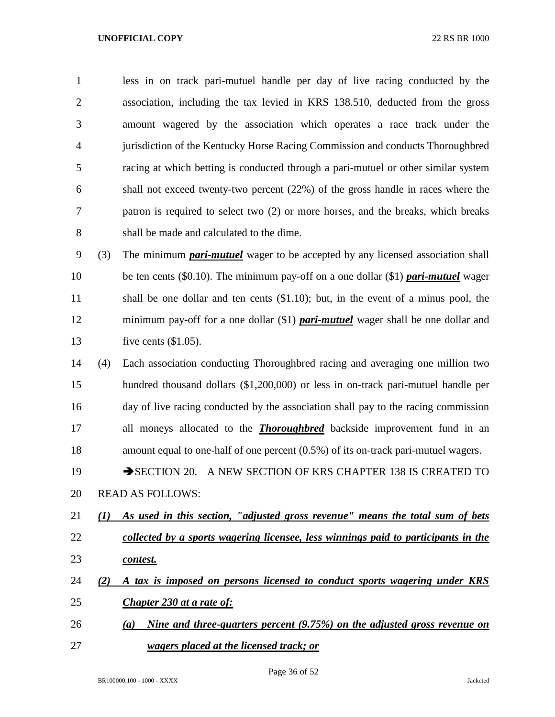less in on track pari-mutuel handle per day of live racing conducted by the association, including the tax levied in KRS 138.510, deducted from the gross amount wagered by the association which operates a race track under the jurisdiction of the Kentucky Horse Racing Commission and conducts Thoroughbred racing at which betting is conducted through a pari-mutuel or other similar system shall not exceed twenty-two percent (22%) of the gross handle in races where the patron is required to select two (2) or more horses, and the breaks, which breaks shall be made and calculated to the dime.

 (3) The minimum *pari-mutuel* wager to be accepted by any licensed association shall be ten cents (\$0.10). The minimum pay-off on a one dollar (\$1) *pari-mutuel* wager shall be one dollar and ten cents (\$1.10); but, in the event of a minus pool, the minimum pay-off for a one dollar (\$1) *pari-mutuel* wager shall be one dollar and five cents (\$1.05).

 (4) Each association conducting Thoroughbred racing and averaging one million two hundred thousand dollars (\$1,200,000) or less in on-track pari-mutuel handle per day of live racing conducted by the association shall pay to the racing commission all moneys allocated to the *Thoroughbred* backside improvement fund in an amount equal to one-half of one percent (0.5%) of its on-track pari-mutuel wagers.

19 SECTION 20. A NEW SECTION OF KRS CHAPTER 138 IS CREATED TO READ AS FOLLOWS:

- *(1) As used in this section, "adjusted gross revenue" means the total sum of bets collected by a sports wagering licensee, less winnings paid to participants in the contest.*
- *(2) A tax is imposed on persons licensed to conduct sports wagering under KRS Chapter 230 at a rate of:*
- *(a) Nine and three-quarters percent (9.75%) on the adjusted gross revenue on wagers placed at the licensed track; or*

Page 36 of 52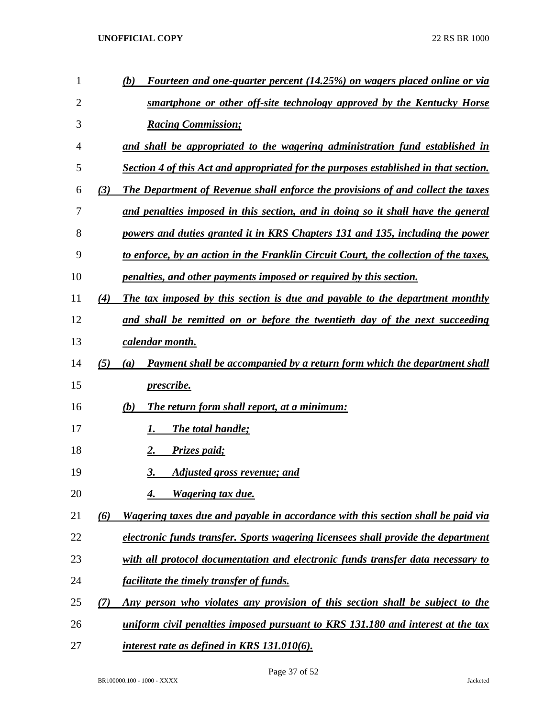| 1              |     | Fourteen and one-quarter percent (14.25%) on wagers placed online or via<br>(b)      |
|----------------|-----|--------------------------------------------------------------------------------------|
| $\overline{2}$ |     | smartphone or other off-site technology approved by the Kentucky Horse               |
| 3              |     | <b>Racing Commission;</b>                                                            |
| 4              |     | and shall be appropriated to the wagering administration fund established in         |
| 5              |     | Section 4 of this Act and appropriated for the purposes established in that section. |
| 6              | (3) | The Department of Revenue shall enforce the provisions of and collect the taxes      |
| 7              |     | and penalties imposed in this section, and in doing so it shall have the general     |
| 8              |     | powers and duties granted it in KRS Chapters 131 and 135, including the power        |
| 9              |     | to enforce, by an action in the Franklin Circuit Court, the collection of the taxes, |
| 10             |     | penalties, and other payments imposed or required by this section.                   |
| 11             | (4) | The tax imposed by this section is due and payable to the department monthly         |
| 12             |     | and shall be remitted on or before the twentieth day of the next succeeding          |
| 13             |     | <u>calendar month.</u>                                                               |
| 14             | (5) | Payment shall be accompanied by a return form which the department shall<br>(a)      |
| 15             |     | <i>prescribe.</i>                                                                    |
| 16             |     | The return form shall report, at a minimum:<br>(b)                                   |
| 17             |     | The total handle;<br>Ι.                                                              |
| 18             |     | Prizes paid;<br>2.                                                                   |
| 19             |     | 3.<br>Adjusted gross revenue; and                                                    |
| 20             |     | Wagering tax due.                                                                    |
| 21             | (6) | Wagering taxes due and payable in accordance with this section shall be paid via     |
| 22             |     | electronic funds transfer. Sports wagering licensees shall provide the department    |
| 23             |     | with all protocol documentation and electronic funds transfer data necessary to      |
| 24             |     | facilitate the timely transfer of funds.                                             |
| 25             | (7) | Any person who violates any provision of this section shall be subject to the        |
| 26             |     | uniform civil penalties imposed pursuant to KRS 131.180 and interest at the tax      |
| 27             |     | interest rate as defined in KRS 131.010(6).                                          |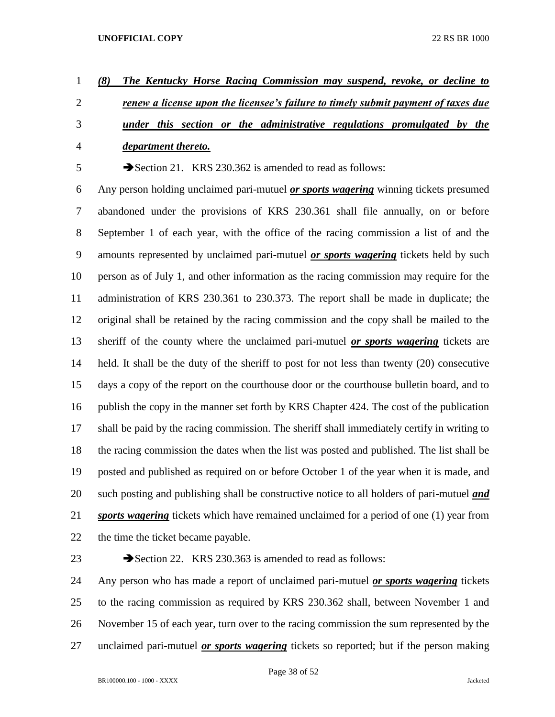- *(8) The Kentucky Horse Racing Commission may suspend, revoke, or decline to renew a license upon the licensee's failure to timely submit payment of taxes due under this section or the administrative regulations promulgated by the*
- 

# *department thereto.*

5 Section 21. KRS 230.362 is amended to read as follows:

 Any person holding unclaimed pari-mutuel *or sports wagering* winning tickets presumed abandoned under the provisions of KRS 230.361 shall file annually, on or before September 1 of each year, with the office of the racing commission a list of and the amounts represented by unclaimed pari-mutuel *or sports wagering* tickets held by such person as of July 1, and other information as the racing commission may require for the administration of KRS 230.361 to 230.373. The report shall be made in duplicate; the original shall be retained by the racing commission and the copy shall be mailed to the sheriff of the county where the unclaimed pari-mutuel *or sports wagering* tickets are held. It shall be the duty of the sheriff to post for not less than twenty (20) consecutive days a copy of the report on the courthouse door or the courthouse bulletin board, and to publish the copy in the manner set forth by KRS Chapter 424. The cost of the publication shall be paid by the racing commission. The sheriff shall immediately certify in writing to the racing commission the dates when the list was posted and published. The list shall be posted and published as required on or before October 1 of the year when it is made, and such posting and publishing shall be constructive notice to all holders of pari-mutuel *and sports wagering* tickets which have remained unclaimed for a period of one (1) year from 22 the time the ticket became payable.

23 Section 22. KRS 230.363 is amended to read as follows:

 Any person who has made a report of unclaimed pari-mutuel *or sports wagering* tickets to the racing commission as required by KRS 230.362 shall, between November 1 and November 15 of each year, turn over to the racing commission the sum represented by the unclaimed pari-mutuel *or sports wagering* tickets so reported; but if the person making

Page 38 of 52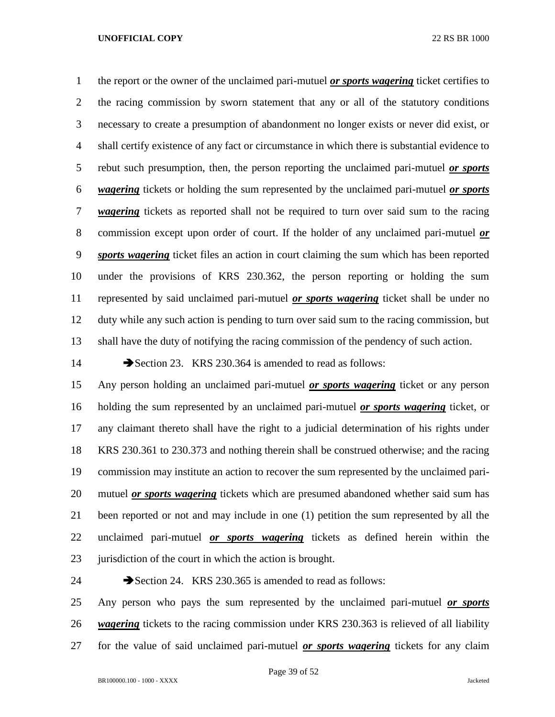the report or the owner of the unclaimed pari-mutuel *or sports wagering* ticket certifies to the racing commission by sworn statement that any or all of the statutory conditions necessary to create a presumption of abandonment no longer exists or never did exist, or shall certify existence of any fact or circumstance in which there is substantial evidence to rebut such presumption, then, the person reporting the unclaimed pari-mutuel *or sports wagering* tickets or holding the sum represented by the unclaimed pari-mutuel *or sports wagering* tickets as reported shall not be required to turn over said sum to the racing commission except upon order of court. If the holder of any unclaimed pari-mutuel *or sports wagering* ticket files an action in court claiming the sum which has been reported under the provisions of KRS 230.362, the person reporting or holding the sum represented by said unclaimed pari-mutuel *or sports wagering* ticket shall be under no duty while any such action is pending to turn over said sum to the racing commission, but shall have the duty of notifying the racing commission of the pendency of such action.

14 Section 23. KRS 230.364 is amended to read as follows:

 Any person holding an unclaimed pari-mutuel *or sports wagering* ticket or any person holding the sum represented by an unclaimed pari-mutuel *or sports wagering* ticket, or any claimant thereto shall have the right to a judicial determination of his rights under KRS 230.361 to 230.373 and nothing therein shall be construed otherwise; and the racing commission may institute an action to recover the sum represented by the unclaimed pari- mutuel *or sports wagering* tickets which are presumed abandoned whether said sum has been reported or not and may include in one (1) petition the sum represented by all the unclaimed pari-mutuel *or sports wagering* tickets as defined herein within the 23 jurisdiction of the court in which the action is brought.

24 Section 24. KRS 230.365 is amended to read as follows: Any person who pays the sum represented by the unclaimed pari-mutuel *or sports wagering* tickets to the racing commission under KRS 230.363 is relieved of all liability for the value of said unclaimed pari-mutuel *or sports wagering* tickets for any claim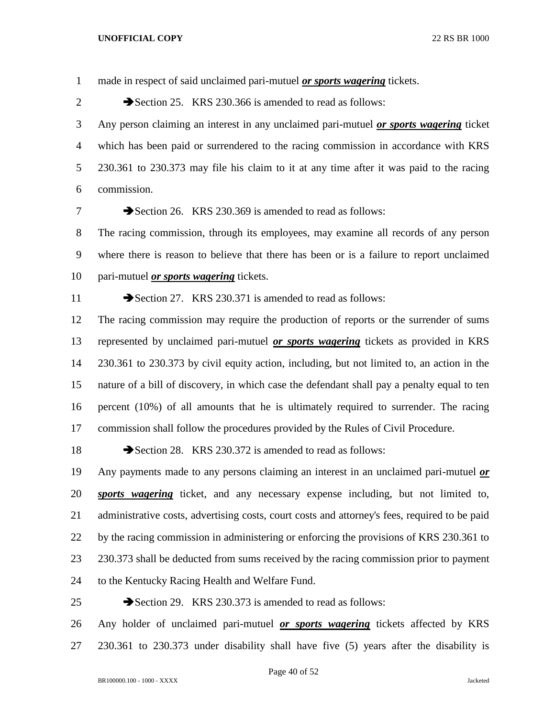made in respect of said unclaimed pari-mutuel *or sports wagering* tickets.

2 Section 25. KRS 230.366 is amended to read as follows:

 Any person claiming an interest in any unclaimed pari-mutuel *or sports wagering* ticket which has been paid or surrendered to the racing commission in accordance with KRS 230.361 to 230.373 may file his claim to it at any time after it was paid to the racing commission.

7 Section 26. KRS 230.369 is amended to read as follows:

 The racing commission, through its employees, may examine all records of any person where there is reason to believe that there has been or is a failure to report unclaimed pari-mutuel *or sports wagering* tickets.

11 Section 27. KRS 230.371 is amended to read as follows:

 The racing commission may require the production of reports or the surrender of sums represented by unclaimed pari-mutuel *or sports wagering* tickets as provided in KRS 230.361 to 230.373 by civil equity action, including, but not limited to, an action in the nature of a bill of discovery, in which case the defendant shall pay a penalty equal to ten percent (10%) of all amounts that he is ultimately required to surrender. The racing commission shall follow the procedures provided by the Rules of Civil Procedure.

18 Section 28. KRS 230.372 is amended to read as follows:

 Any payments made to any persons claiming an interest in an unclaimed pari-mutuel *or sports wagering* ticket, and any necessary expense including, but not limited to, administrative costs, advertising costs, court costs and attorney's fees, required to be paid by the racing commission in administering or enforcing the provisions of KRS 230.361 to 23 230.373 shall be deducted from sums received by the racing commission prior to payment to the Kentucky Racing Health and Welfare Fund.

25 Section 29. KRS 230.373 is amended to read as follows:

 Any holder of unclaimed pari-mutuel *or sports wagering* tickets affected by KRS 230.361 to 230.373 under disability shall have five (5) years after the disability is

Page 40 of 52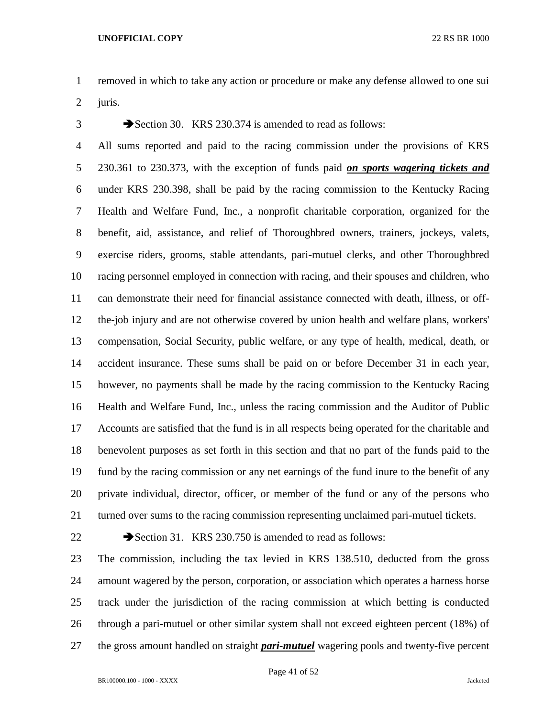removed in which to take any action or procedure or make any defense allowed to one sui juris.

3 Section 30. KRS 230.374 is amended to read as follows:

 All sums reported and paid to the racing commission under the provisions of KRS 230.361 to 230.373, with the exception of funds paid *on sports wagering tickets and* under KRS 230.398, shall be paid by the racing commission to the Kentucky Racing Health and Welfare Fund, Inc., a nonprofit charitable corporation, organized for the benefit, aid, assistance, and relief of Thoroughbred owners, trainers, jockeys, valets, exercise riders, grooms, stable attendants, pari-mutuel clerks, and other Thoroughbred racing personnel employed in connection with racing, and their spouses and children, who can demonstrate their need for financial assistance connected with death, illness, or off- the-job injury and are not otherwise covered by union health and welfare plans, workers' compensation, Social Security, public welfare, or any type of health, medical, death, or accident insurance. These sums shall be paid on or before December 31 in each year, however, no payments shall be made by the racing commission to the Kentucky Racing Health and Welfare Fund, Inc., unless the racing commission and the Auditor of Public Accounts are satisfied that the fund is in all respects being operated for the charitable and benevolent purposes as set forth in this section and that no part of the funds paid to the fund by the racing commission or any net earnings of the fund inure to the benefit of any private individual, director, officer, or member of the fund or any of the persons who turned over sums to the racing commission representing unclaimed pari-mutuel tickets.

22 Section 31. KRS 230.750 is amended to read as follows:

 The commission, including the tax levied in KRS 138.510, deducted from the gross amount wagered by the person, corporation, or association which operates a harness horse track under the jurisdiction of the racing commission at which betting is conducted through a pari-mutuel or other similar system shall not exceed eighteen percent (18%) of the gross amount handled on straight *pari-mutuel* wagering pools and twenty-five percent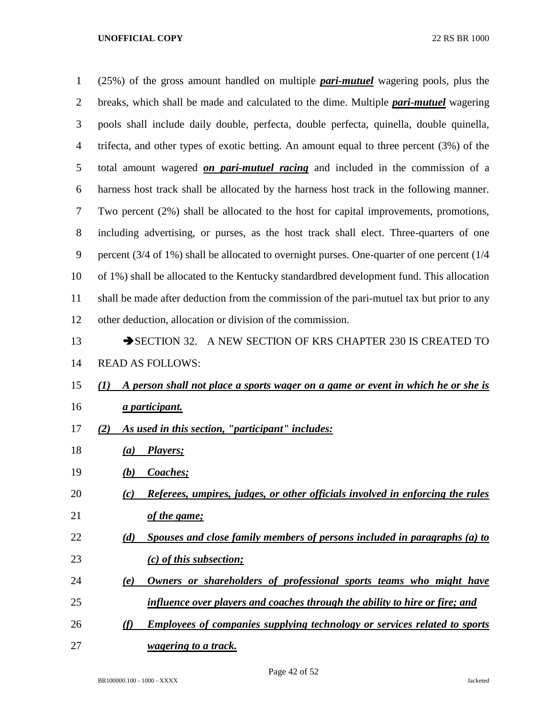| $\mathbf{1}$   | $(25%)$ of the gross amount handled on multiple <i>pari-mutuel</i> wagering pools, plus the  |
|----------------|----------------------------------------------------------------------------------------------|
| $\overline{c}$ | breaks, which shall be made and calculated to the dime. Multiple <i>pari-mutuel</i> wagering |
| 3              | pools shall include daily double, perfecta, double perfecta, quinella, double quinella,      |
| 4              | trifecta, and other types of exotic betting. An amount equal to three percent (3%) of the    |
| 5              | total amount wagered on pari-mutuel racing and included in the commission of a               |
| 6              | harness host track shall be allocated by the harness host track in the following manner.     |
| 7              | Two percent (2%) shall be allocated to the host for capital improvements, promotions,        |
| 8              | including advertising, or purses, as the host track shall elect. Three-quarters of one       |
| 9              | percent (3/4 of 1%) shall be allocated to overnight purses. One-quarter of one percent (1/4  |
| 10             | of 1%) shall be allocated to the Kentucky standardbred development fund. This allocation     |
| 11             | shall be made after deduction from the commission of the pari-mutuel tax but prior to any    |
| 12             | other deduction, allocation or division of the commission.                                   |
| 13             | SECTION 32. A NEW SECTION OF KRS CHAPTER 230 IS CREATED TO                                   |
| 14             | <b>READ AS FOLLOWS:</b>                                                                      |
| 15             | A person shall not place a sports wager on a game or event in which he or she is<br>(I)      |
| 16             | <i>a participant.</i>                                                                        |
| 17             | As used in this section, "participant" includes:<br>(2)                                      |
| 18             | Players;<br>(a)                                                                              |
| 19             | <b>Coaches</b> ;<br>(b)                                                                      |
| 20             | Referees, umpires, judges, or other officials involved in enforcing the rules<br>(c)         |
| 21             | of the game;                                                                                 |
| 22             | Spouses and close family members of persons included in paragraphs (a) to<br>(d)             |
| 23             | (c) of this subsection;                                                                      |
| 24             | Owners or shareholders of professional sports teams who might have<br>(e)                    |
| 25             | influence over players and coaches through the ability to hire or fire; and                  |
| 26             | <b>Employees of companies supplying technology or services related to sports</b><br>(f)      |
| 27             | <i>wagering to a track.</i>                                                                  |

Page 42 of 52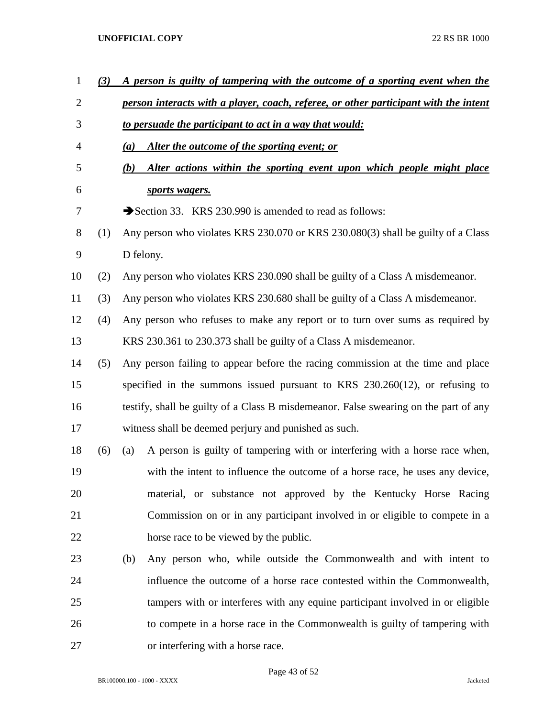| $\mathbf{1}$   | (3) |                                                         | A person is guilty of tampering with the outcome of a sporting event when the        |  |
|----------------|-----|---------------------------------------------------------|--------------------------------------------------------------------------------------|--|
| $\overline{2}$ |     |                                                         | person interacts with a player, coach, referee, or other participant with the intent |  |
| 3              |     | to persuade the participant to act in a way that would: |                                                                                      |  |
| 4              |     | (a)                                                     | Alter the outcome of the sporting event; or                                          |  |
| 5              |     | (b)                                                     | Alter actions within the sporting event upon which people might place                |  |
| 6              |     |                                                         | sports wagers.                                                                       |  |
| 7              |     |                                                         | Section 33. KRS 230.990 is amended to read as follows:                               |  |
| 8              | (1) |                                                         | Any person who violates KRS 230.070 or KRS 230.080(3) shall be guilty of a Class     |  |
| 9              |     |                                                         | D felony.                                                                            |  |
| 10             | (2) |                                                         | Any person who violates KRS 230.090 shall be guilty of a Class A misdemeanor.        |  |
| 11             | (3) |                                                         | Any person who violates KRS 230.680 shall be guilty of a Class A misdemeanor.        |  |
| 12             | (4) |                                                         | Any person who refuses to make any report or to turn over sums as required by        |  |
| 13             |     |                                                         | KRS 230.361 to 230.373 shall be guilty of a Class A misdemeanor.                     |  |
| 14             | (5) |                                                         | Any person failing to appear before the racing commission at the time and place      |  |
| 15             |     |                                                         | specified in the summons issued pursuant to KRS $230.260(12)$ , or refusing to       |  |
| 16             |     |                                                         | testify, shall be guilty of a Class B misdemeanor. False swearing on the part of any |  |
| 17             |     |                                                         | witness shall be deemed perjury and punished as such.                                |  |
| 18             | (6) | (a)                                                     | A person is guilty of tampering with or interfering with a horse race when,          |  |
| 19             |     |                                                         | with the intent to influence the outcome of a horse race, he uses any device,        |  |
| 20             |     |                                                         | material, or substance not approved by the Kentucky Horse Racing                     |  |
| 21             |     |                                                         | Commission on or in any participant involved in or eligible to compete in a          |  |
| 22             |     |                                                         | horse race to be viewed by the public.                                               |  |
| 23             |     | (b)                                                     | Any person who, while outside the Commonwealth and with intent to                    |  |
| 24             |     |                                                         | influence the outcome of a horse race contested within the Commonwealth,             |  |
| 25             |     |                                                         | tampers with or interferes with any equine participant involved in or eligible       |  |
| 26             |     |                                                         | to compete in a horse race in the Commonwealth is guilty of tampering with           |  |
| 27             |     |                                                         | or interfering with a horse race.                                                    |  |

Page 43 of 52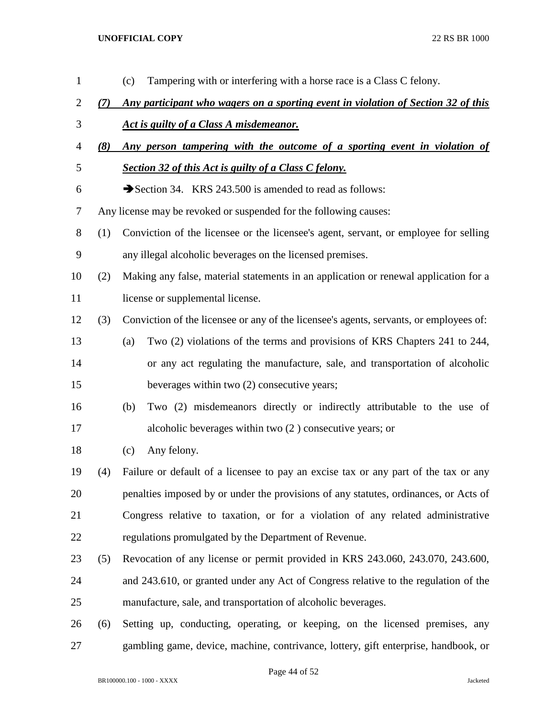| $\mathbf{1}$ |     | Tampering with or interfering with a horse race is a Class C felony.<br>(c)            |  |
|--------------|-----|----------------------------------------------------------------------------------------|--|
| 2            | (7) | Any participant who wagers on a sporting event in violation of Section 32 of this      |  |
| 3            |     | Act is guilty of a Class A misdemeanor.                                                |  |
| 4            | (8) | Any person tampering with the outcome of a sporting event in violation of              |  |
| 5            |     | Section 32 of this Act is guilty of a Class C felony.                                  |  |
| 6            |     | Section 34. KRS 243.500 is amended to read as follows:                                 |  |
| 7            |     | Any license may be revoked or suspended for the following causes:                      |  |
| 8            | (1) | Conviction of the licensee or the licensee's agent, servant, or employee for selling   |  |
| 9            |     | any illegal alcoholic beverages on the licensed premises.                              |  |
| 10           | (2) | Making any false, material statements in an application or renewal application for a   |  |
| 11           |     | license or supplemental license.                                                       |  |
| 12           | (3) | Conviction of the licensee or any of the licensee's agents, servants, or employees of: |  |
| 13           |     | Two (2) violations of the terms and provisions of KRS Chapters 241 to 244,<br>(a)      |  |
| 14           |     | or any act regulating the manufacture, sale, and transportation of alcoholic           |  |
| 15           |     | beverages within two (2) consecutive years;                                            |  |
| 16           |     | Two (2) misdemeanors directly or indirectly attributable to the use of<br>(b)          |  |
| 17           |     | alcoholic beverages within two (2) consecutive years; or                               |  |
| 18           |     | Any felony.<br>(c)                                                                     |  |
| 19           | (4) | Failure or default of a licensee to pay an excise tax or any part of the tax or any    |  |
| 20           |     | penalties imposed by or under the provisions of any statutes, ordinances, or Acts of   |  |
| 21           |     | Congress relative to taxation, or for a violation of any related administrative        |  |
| 22           |     | regulations promulgated by the Department of Revenue.                                  |  |
| 23           | (5) | Revocation of any license or permit provided in KRS 243.060, 243.070, 243.600,         |  |
| 24           |     | and 243.610, or granted under any Act of Congress relative to the regulation of the    |  |
| 25           |     | manufacture, sale, and transportation of alcoholic beverages.                          |  |
| 26           | (6) | Setting up, conducting, operating, or keeping, on the licensed premises, any           |  |
| 27           |     | gambling game, device, machine, contrivance, lottery, gift enterprise, handbook, or    |  |

Page 44 of 52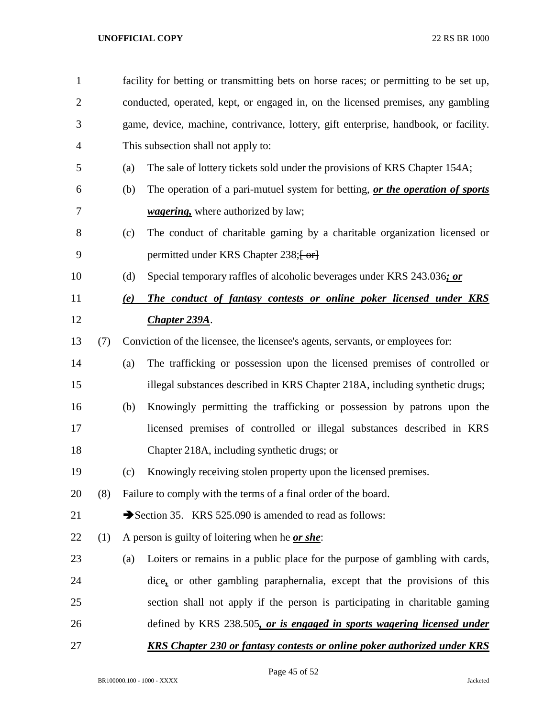| 1              |     | facility for betting or transmitting bets on horse races; or permitting to be set up, |                                                                                      |  |  |
|----------------|-----|---------------------------------------------------------------------------------------|--------------------------------------------------------------------------------------|--|--|
| $\overline{2}$ |     | conducted, operated, kept, or engaged in, on the licensed premises, any gambling      |                                                                                      |  |  |
| 3              |     |                                                                                       | game, device, machine, contrivance, lottery, gift enterprise, handbook, or facility. |  |  |
| $\overline{4}$ |     | This subsection shall not apply to:                                                   |                                                                                      |  |  |
| 5              |     | (a)                                                                                   | The sale of lottery tickets sold under the provisions of KRS Chapter 154A;           |  |  |
| 6              |     | (b)                                                                                   | The operation of a pari-mutuel system for betting, or the operation of sports        |  |  |
| 7              |     |                                                                                       | <i>wagering</i> , where authorized by law;                                           |  |  |
| 8              |     | (c)                                                                                   | The conduct of charitable gaming by a charitable organization licensed or            |  |  |
| 9              |     |                                                                                       | permitted under KRS Chapter 238; [-or]                                               |  |  |
| 10             |     | (d)                                                                                   | Special temporary raffles of alcoholic beverages under KRS 243.036; or               |  |  |
| 11             |     | (e)                                                                                   | The conduct of fantasy contests or online poker licensed under KRS                   |  |  |
| 12             |     |                                                                                       | Chapter 239A.                                                                        |  |  |
| 13             | (7) |                                                                                       | Conviction of the licensee, the licensee's agents, servants, or employees for:       |  |  |
| 14             |     | (a)                                                                                   | The trafficking or possession upon the licensed premises of controlled or            |  |  |
| 15             |     |                                                                                       | illegal substances described in KRS Chapter 218A, including synthetic drugs;         |  |  |
| 16             |     | (b)                                                                                   | Knowingly permitting the trafficking or possession by patrons upon the               |  |  |
| 17             |     |                                                                                       | licensed premises of controlled or illegal substances described in KRS               |  |  |
| 18             |     |                                                                                       | Chapter 218A, including synthetic drugs; or                                          |  |  |
| 19             |     | (c)                                                                                   | Knowingly receiving stolen property upon the licensed premises.                      |  |  |
| 20             | (8) |                                                                                       | Failure to comply with the terms of a final order of the board.                      |  |  |
| 21             |     |                                                                                       | Section 35. KRS 525.090 is amended to read as follows:                               |  |  |
| 22             | (1) |                                                                                       | A person is guilty of loitering when he <u>or she</u> :                              |  |  |
| 23             |     | (a)                                                                                   | Loiters or remains in a public place for the purpose of gambling with cards,         |  |  |
| 24             |     |                                                                                       | dice, or other gambling paraphernalia, except that the provisions of this            |  |  |
| 25             |     |                                                                                       | section shall not apply if the person is participating in charitable gaming          |  |  |
| 26             |     |                                                                                       | defined by KRS 238.505, or is engaged in sports wagering licensed under              |  |  |
| 27             |     |                                                                                       | <b>KRS Chapter 230 or fantasy contests or online poker authorized under KRS</b>      |  |  |

Page 45 of 52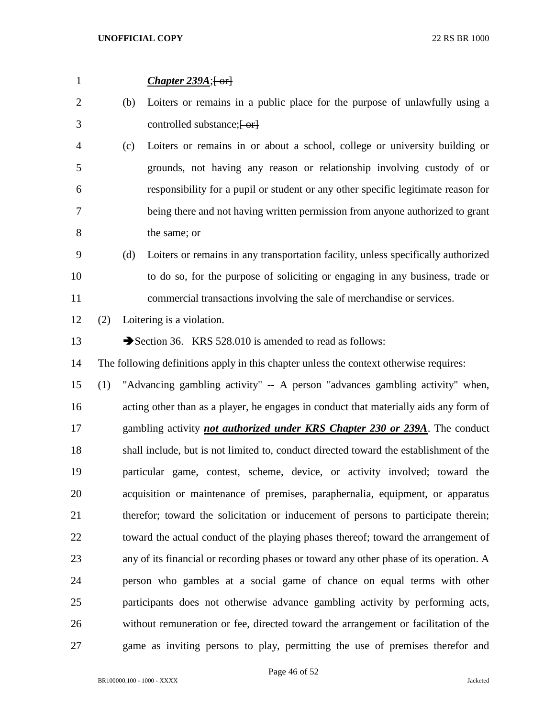| $\mathbf{1}$   |     |     | <i>Chapter 239A</i> ; $\left\{ \text{ or } \right\}$                                   |
|----------------|-----|-----|----------------------------------------------------------------------------------------|
| $\overline{2}$ |     | (b) | Loiters or remains in a public place for the purpose of unlawfully using a             |
| 3              |     |     | controlled substance; [-or]                                                            |
| 4              |     | (c) | Loiters or remains in or about a school, college or university building or             |
| 5              |     |     | grounds, not having any reason or relationship involving custody of or                 |
| 6              |     |     | responsibility for a pupil or student or any other specific legitimate reason for      |
| 7              |     |     | being there and not having written permission from anyone authorized to grant          |
| 8              |     |     | the same; or                                                                           |
| 9              |     | (d) | Loiters or remains in any transportation facility, unless specifically authorized      |
| 10             |     |     | to do so, for the purpose of soliciting or engaging in any business, trade or          |
| 11             |     |     | commercial transactions involving the sale of merchandise or services.                 |
| 12             | (2) |     | Loitering is a violation.                                                              |
| 13             |     |     | Section 36. KRS 528.010 is amended to read as follows:                                 |
| 14             |     |     | The following definitions apply in this chapter unless the context otherwise requires: |
| 15             | (1) |     | "Advancing gambling activity" -- A person "advances gambling activity" when,           |
| 16             |     |     | acting other than as a player, he engages in conduct that materially aids any form of  |
| 17             |     |     | gambling activity <i>not authorized under KRS Chapter 230 or 239A</i> . The conduct    |
| 18             |     |     | shall include, but is not limited to, conduct directed toward the establishment of the |
| 19             |     |     | particular game, contest, scheme, device, or activity involved; toward the             |
| 20             |     |     | acquisition or maintenance of premises, paraphernalia, equipment, or apparatus         |
| 21             |     |     | therefor; toward the solicitation or inducement of persons to participate therein;     |
| 22             |     |     | toward the actual conduct of the playing phases thereof; toward the arrangement of     |
| 23             |     |     | any of its financial or recording phases or toward any other phase of its operation. A |
| 24             |     |     | person who gambles at a social game of chance on equal terms with other                |
| 25             |     |     | participants does not otherwise advance gambling activity by performing acts,          |
| 26             |     |     | without remuneration or fee, directed toward the arrangement or facilitation of the    |
| 27             |     |     | game as inviting persons to play, permitting the use of premises therefor and          |

Page 46 of 52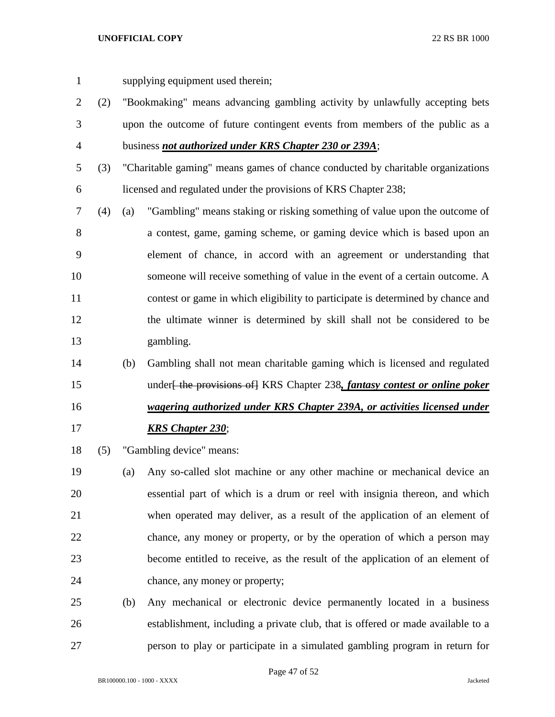- supplying equipment used therein;
- (2) "Bookmaking" means advancing gambling activity by unlawfully accepting bets upon the outcome of future contingent events from members of the public as a business *not authorized under KRS Chapter 230 or 239A*;
- (3) "Charitable gaming" means games of chance conducted by charitable organizations licensed and regulated under the provisions of KRS Chapter 238;
- (4) (a) "Gambling" means staking or risking something of value upon the outcome of a contest, game, gaming scheme, or gaming device which is based upon an element of chance, in accord with an agreement or understanding that someone will receive something of value in the event of a certain outcome. A contest or game in which eligibility to participate is determined by chance and the ultimate winner is determined by skill shall not be considered to be gambling.
- (b) Gambling shall not mean charitable gaming which is licensed and regulated under[ the provisions of] KRS Chapter 238*, fantasy contest or online poker wagering authorized under KRS Chapter 239A, or activities licensed under KRS Chapter 230*;
- (5) "Gambling device" means:
- (a) Any so-called slot machine or any other machine or mechanical device an essential part of which is a drum or reel with insignia thereon, and which when operated may deliver, as a result of the application of an element of chance, any money or property, or by the operation of which a person may become entitled to receive, as the result of the application of an element of chance, any money or property;
- (b) Any mechanical or electronic device permanently located in a business establishment, including a private club, that is offered or made available to a person to play or participate in a simulated gambling program in return for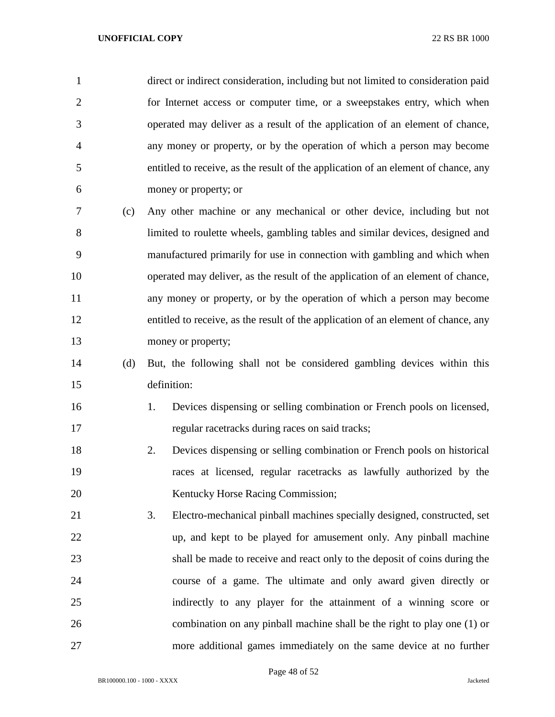direct or indirect consideration, including but not limited to consideration paid for Internet access or computer time, or a sweepstakes entry, which when operated may deliver as a result of the application of an element of chance, any money or property, or by the operation of which a person may become entitled to receive, as the result of the application of an element of chance, any money or property; or (c) Any other machine or any mechanical or other device, including but not limited to roulette wheels, gambling tables and similar devices, designed and manufactured primarily for use in connection with gambling and which when operated may deliver, as the result of the application of an element of chance, any money or property, or by the operation of which a person may become entitled to receive, as the result of the application of an element of chance, any 13 money or property; (d) But, the following shall not be considered gambling devices within this definition:

- 1. Devices dispensing or selling combination or French pools on licensed, regular racetracks during races on said tracks;
- 2. Devices dispensing or selling combination or French pools on historical races at licensed, regular racetracks as lawfully authorized by the 20 Kentucky Horse Racing Commission;
- 3. Electro-mechanical pinball machines specially designed, constructed, set up, and kept to be played for amusement only. Any pinball machine shall be made to receive and react only to the deposit of coins during the course of a game. The ultimate and only award given directly or indirectly to any player for the attainment of a winning score or combination on any pinball machine shall be the right to play one (1) or more additional games immediately on the same device at no further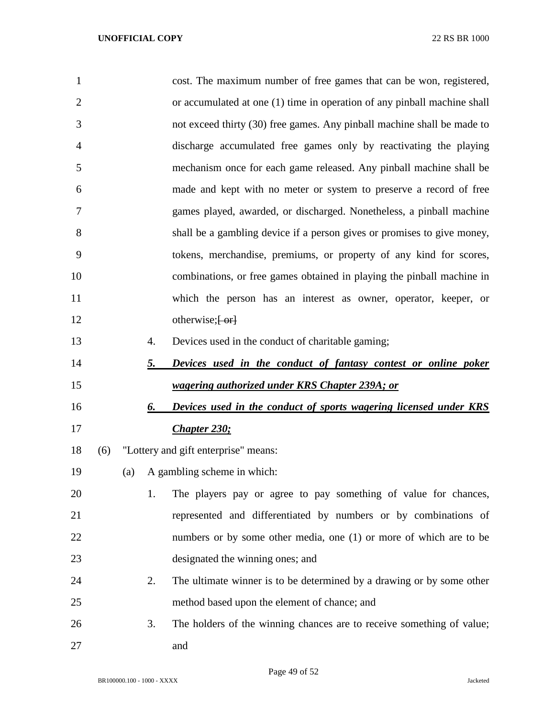| $\mathbf{1}$   |     |     |           | cost. The maximum number of free games that can be won, registered,      |
|----------------|-----|-----|-----------|--------------------------------------------------------------------------|
| $\overline{2}$ |     |     |           | or accumulated at one (1) time in operation of any pinball machine shall |
| 3              |     |     |           | not exceed thirty (30) free games. Any pinball machine shall be made to  |
| 4              |     |     |           | discharge accumulated free games only by reactivating the playing        |
| 5              |     |     |           | mechanism once for each game released. Any pinball machine shall be      |
| 6              |     |     |           | made and kept with no meter or system to preserve a record of free       |
| 7              |     |     |           | games played, awarded, or discharged. Nonetheless, a pinball machine     |
| 8              |     |     |           | shall be a gambling device if a person gives or promises to give money,  |
| 9              |     |     |           | tokens, merchandise, premiums, or property of any kind for scores,       |
| 10             |     |     |           | combinations, or free games obtained in playing the pinball machine in   |
| 11             |     |     |           | which the person has an interest as owner, operator, keeper, or          |
| 12             |     |     |           | otherwise; $\left\{ -\text{or} \right\}$                                 |
| 13             |     |     | 4.        | Devices used in the conduct of charitable gaming;                        |
| 14             |     |     | <u>5.</u> | Devices used in the conduct of fantasy contest or online poker           |
| 15             |     |     |           | wagering authorized under KRS Chapter 239A; or                           |
| 16             |     |     | 6.        | Devices used in the conduct of sports wagering licensed under KRS        |
|                |     |     |           | <b>Chapter 230;</b>                                                      |
| 17             |     |     |           |                                                                          |
| 18             | (6) |     |           | "Lottery and gift enterprise" means:                                     |
| 19             |     | (a) |           | A gambling scheme in which:                                              |
| 20             |     |     | 1.        | The players pay or agree to pay something of value for chances,          |
| 21             |     |     |           | represented and differentiated by numbers or by combinations of          |
| 22             |     |     |           | numbers or by some other media, one (1) or more of which are to be       |
| 23             |     |     |           | designated the winning ones; and                                         |
| 24             |     |     | 2.        | The ultimate winner is to be determined by a drawing or by some other    |
| 25             |     |     |           | method based upon the element of chance; and                             |
| 26             |     |     | 3.        | The holders of the winning chances are to receive something of value;    |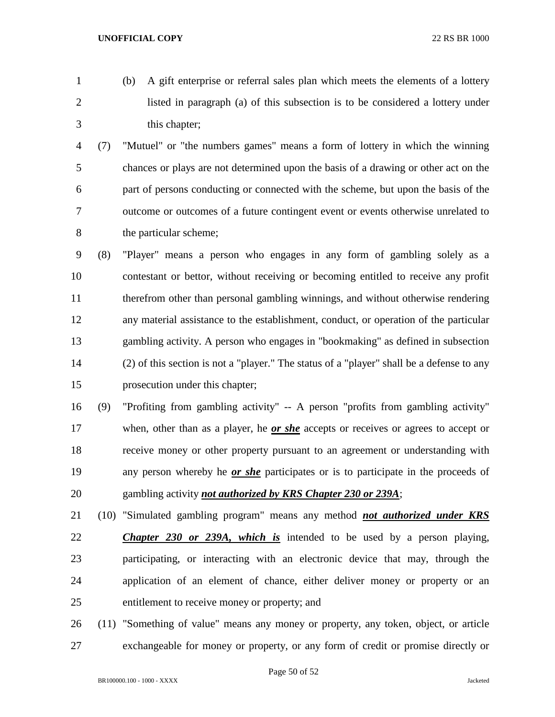(b) A gift enterprise or referral sales plan which meets the elements of a lottery listed in paragraph (a) of this subsection is to be considered a lottery under this chapter;

 (7) "Mutuel" or "the numbers games" means a form of lottery in which the winning chances or plays are not determined upon the basis of a drawing or other act on the part of persons conducting or connected with the scheme, but upon the basis of the outcome or outcomes of a future contingent event or events otherwise unrelated to the particular scheme;

 (8) "Player" means a person who engages in any form of gambling solely as a contestant or bettor, without receiving or becoming entitled to receive any profit therefrom other than personal gambling winnings, and without otherwise rendering any material assistance to the establishment, conduct, or operation of the particular gambling activity. A person who engages in "bookmaking" as defined in subsection (2) of this section is not a "player." The status of a "player" shall be a defense to any prosecution under this chapter;

 (9) "Profiting from gambling activity" -- A person "profits from gambling activity" when, other than as a player, he *or she* accepts or receives or agrees to accept or receive money or other property pursuant to an agreement or understanding with any person whereby he *or she* participates or is to participate in the proceeds of gambling activity *not authorized by KRS Chapter 230 or 239A*;

 (10) "Simulated gambling program" means any method *not authorized under KRS Chapter 230 or 239A, which is* intended to be used by a person playing, participating, or interacting with an electronic device that may, through the application of an element of chance, either deliver money or property or an entitlement to receive money or property; and

 (11) "Something of value" means any money or property, any token, object, or article exchangeable for money or property, or any form of credit or promise directly or

Page 50 of 52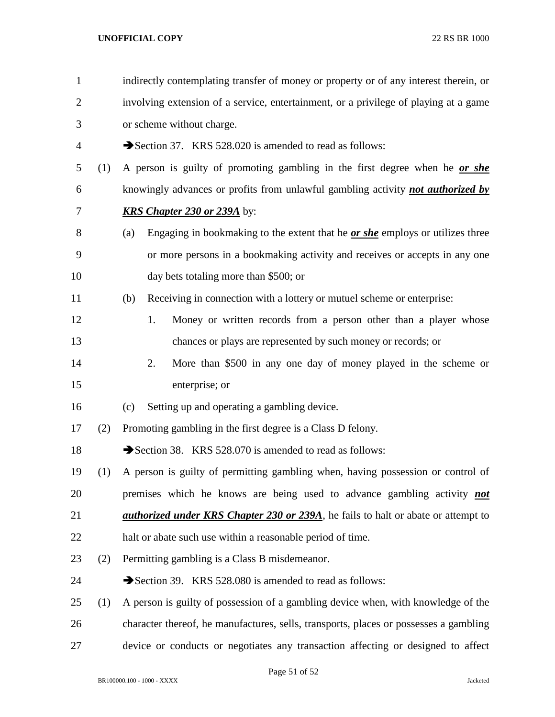| $\mathbf{1}$   |     | indirectly contemplating transfer of money or property or of any interest therein, or       |  |  |  |
|----------------|-----|---------------------------------------------------------------------------------------------|--|--|--|
| $\overline{2}$ |     | involving extension of a service, entertainment, or a privilege of playing at a game        |  |  |  |
| 3              |     | or scheme without charge.                                                                   |  |  |  |
| $\overline{4}$ |     | Section 37. KRS 528.020 is amended to read as follows:                                      |  |  |  |
| 5              | (1) | A person is guilty of promoting gambling in the first degree when he or she                 |  |  |  |
| 6              |     | knowingly advances or profits from unlawful gambling activity <b>not authorized by</b>      |  |  |  |
| 7              |     | <b>KRS Chapter 230 or 239A</b> by:                                                          |  |  |  |
| 8              |     | Engaging in bookmaking to the extent that he <i>or she</i> employs or utilizes three<br>(a) |  |  |  |
| 9              |     | or more persons in a bookmaking activity and receives or accepts in any one                 |  |  |  |
| 10             |     | day bets totaling more than \$500; or                                                       |  |  |  |
| 11             |     | Receiving in connection with a lottery or mutuel scheme or enterprise:<br>(b)               |  |  |  |
| 12             |     | Money or written records from a person other than a player whose<br>1.                      |  |  |  |
| 13             |     | chances or plays are represented by such money or records; or                               |  |  |  |
| 14             |     | More than \$500 in any one day of money played in the scheme or<br>2.                       |  |  |  |
| 15             |     | enterprise; or                                                                              |  |  |  |
| 16             |     | Setting up and operating a gambling device.<br>(c)                                          |  |  |  |
| 17             | (2) | Promoting gambling in the first degree is a Class D felony.                                 |  |  |  |
| 18             |     | Section 38. KRS 528.070 is amended to read as follows:                                      |  |  |  |
| 19             | (1) | A person is guilty of permitting gambling when, having possession or control of             |  |  |  |
| 20             |     | premises which he knows are being used to advance gambling activity <b>not</b>              |  |  |  |
| 21             |     | <i>authorized under KRS Chapter 230 or 239A</i> , he fails to halt or abate or attempt to   |  |  |  |
| 22             |     | halt or abate such use within a reasonable period of time.                                  |  |  |  |
| 23             | (2) | Permitting gambling is a Class B misdemeanor.                                               |  |  |  |
| 24             |     | Section 39. KRS 528.080 is amended to read as follows:                                      |  |  |  |
| 25             | (1) | A person is guilty of possession of a gambling device when, with knowledge of the           |  |  |  |
| 26             |     | character thereof, he manufactures, sells, transports, places or possesses a gambling       |  |  |  |
| 27             |     | device or conducts or negotiates any transaction affecting or designed to affect            |  |  |  |

Page 51 of 52